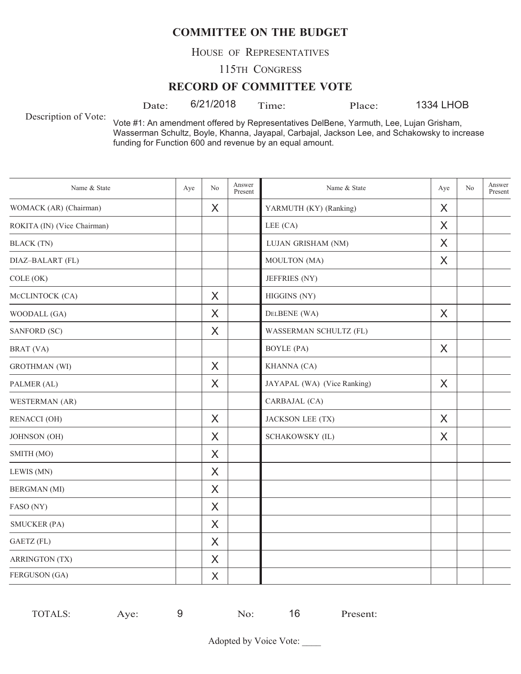HOUSE OF REPRESENTATIVES

115TH CONGRESS

#### **RECORD OF COMMITTEE VOTE**

Date:  $6/21/2018$  Time: Place:

1334 LHOB

Description of Vote:

Vote #1: An amendment offered by Representatives DelBene, Yarmuth, Lee, Lujan Grisham, Wasserman Schultz, Boyle, Khanna, Jayapal, Carbajal, Jackson Lee, and Schakowsky to increase funding for Function 600 and revenue by an equal amount.

| Name & State                | Aye | No | Answer<br>Present | Name & State                | Aye      | No | Answer<br>Present |
|-----------------------------|-----|----|-------------------|-----------------------------|----------|----|-------------------|
| WOMACK (AR) (Chairman)      |     | X  |                   | YARMUTH (KY) (Ranking)      | X        |    |                   |
| ROKITA (IN) (Vice Chairman) |     |    |                   | LEE (CA)                    | X        |    |                   |
| <b>BLACK</b> (TN)           |     |    |                   | LUJAN GRISHAM (NM)          | X        |    |                   |
| DIAZ-BALART (FL)            |     |    |                   | MOULTON (MA)                | X        |    |                   |
| COLE (OK)                   |     |    |                   | JEFFRIES (NY)               |          |    |                   |
| MCCLINTOCK (CA)             |     | X  |                   | HIGGINS (NY)                |          |    |                   |
| WOODALL (GA)                |     | X  |                   | DELBENE (WA)                | $\times$ |    |                   |
| SANFORD (SC)                |     | X  |                   | WASSERMAN SCHULTZ (FL)      |          |    |                   |
| BRAT (VA)                   |     |    |                   | <b>BOYLE</b> (PA)           | X        |    |                   |
| <b>GROTHMAN</b> (WI)        |     | X  |                   | KHANNA (CA)                 |          |    |                   |
| PALMER (AL)                 |     | X  |                   | JAYAPAL (WA) (Vice Ranking) | X        |    |                   |
| WESTERMAN (AR)              |     |    |                   | CARBAJAL (CA)               |          |    |                   |
| <b>RENACCI (OH)</b>         |     | X  |                   | JACKSON LEE (TX)            | X        |    |                   |
| JOHNSON (OH)                |     | X  |                   | SCHAKOWSKY (IL)             | X        |    |                   |
| SMITH (MO)                  |     | X  |                   |                             |          |    |                   |
| LEWIS (MN)                  |     | X  |                   |                             |          |    |                   |
| <b>BERGMAN</b> (MI)         |     | X  |                   |                             |          |    |                   |
| FASO (NY)                   |     | X  |                   |                             |          |    |                   |
| <b>SMUCKER (PA)</b>         |     | X  |                   |                             |          |    |                   |
| GAETZ (FL)                  |     | X  |                   |                             |          |    |                   |
| <b>ARRINGTON (TX)</b>       |     | X  |                   |                             |          |    |                   |
| FERGUSON (GA)               |     | X  |                   |                             |          |    |                   |

| - | <b>TOTALS:</b> | $\nu e$<br>$\sim$ |  | $\Delta$ | 16 | Present: |
|---|----------------|-------------------|--|----------|----|----------|
|---|----------------|-------------------|--|----------|----|----------|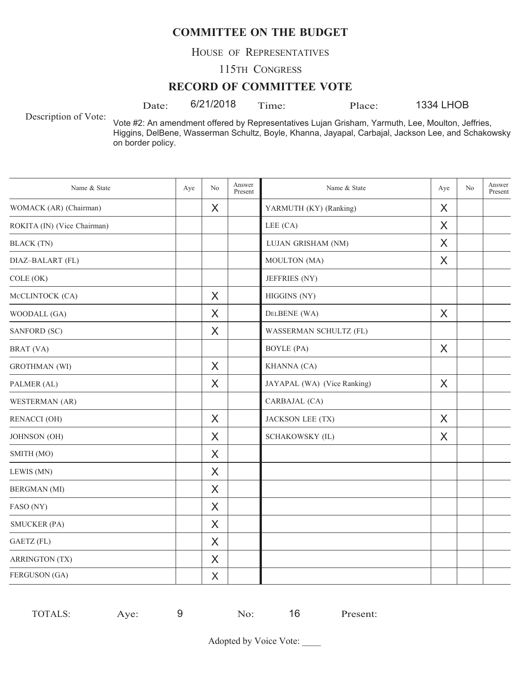HOUSE OF REPRESENTATIVES

115TH CONGRESS

#### **RECORD OF COMMITTEE VOTE**

Date: 6/21/2018 Time: Place:

1334 LHOB

Description of Vote:

Vote #2: An amendment offered by Representatives Lujan Grisham, Yarmuth, Lee, Moulton, Jeffries, Higgins, DelBene, Wasserman Schultz, Boyle, Khanna, Jayapal, Carbajal, Jackson Lee, and Schakowsky on border policy.

| Name & State                | Aye | No       | Answer<br>Present | Name & State                | Aye | No | Answer<br>Present |
|-----------------------------|-----|----------|-------------------|-----------------------------|-----|----|-------------------|
| WOMACK (AR) (Chairman)      |     | X        |                   | YARMUTH (KY) (Ranking)      | X   |    |                   |
| ROKITA (IN) (Vice Chairman) |     |          |                   | LEE (CA)                    | X   |    |                   |
| <b>BLACK</b> (TN)           |     |          |                   | LUJAN GRISHAM (NM)          | X   |    |                   |
| DIAZ-BALART (FL)            |     |          |                   | MOULTON (MA)                | X   |    |                   |
| COLE (OK)                   |     |          |                   | JEFFRIES (NY)               |     |    |                   |
| MCCLINTOCK (CA)             |     | X        |                   | HIGGINS (NY)                |     |    |                   |
| WOODALL (GA)                |     | X        |                   | DELBENE (WA)                | X   |    |                   |
| SANFORD (SC)                |     | X        |                   | WASSERMAN SCHULTZ (FL)      |     |    |                   |
| BRAT (VA)                   |     |          |                   | <b>BOYLE</b> (PA)           | X   |    |                   |
| <b>GROTHMAN</b> (WI)        |     | X        |                   | KHANNA (CA)                 |     |    |                   |
| PALMER (AL)                 |     | $\times$ |                   | JAYAPAL (WA) (Vice Ranking) | X   |    |                   |
| WESTERMAN (AR)              |     |          |                   | CARBAJAL (CA)               |     |    |                   |
| <b>RENACCI (OH)</b>         |     | X        |                   | JACKSON LEE (TX)            | X   |    |                   |
| JOHNSON (OH)                |     | X        |                   | SCHAKOWSKY (IL)             | X   |    |                   |
| SMITH (MO)                  |     | X        |                   |                             |     |    |                   |
| LEWIS (MN)                  |     | X        |                   |                             |     |    |                   |
| <b>BERGMAN</b> (MI)         |     | X        |                   |                             |     |    |                   |
| FASO (NY)                   |     | X        |                   |                             |     |    |                   |
| <b>SMUCKER (PA)</b>         |     | X        |                   |                             |     |    |                   |
| GAETZ (FL)                  |     | $\sf X$  |                   |                             |     |    |                   |
| <b>ARRINGTON (TX)</b>       |     | X        |                   |                             |     |    |                   |
| FERGUSON (GA)               |     | X        |                   |                             |     |    |                   |

| . . | TOTALS:<br>. د ۱ | ve. |  | $\sim$ | 1 <sub>6</sub> | Present: |
|-----|------------------|-----|--|--------|----------------|----------|
|-----|------------------|-----|--|--------|----------------|----------|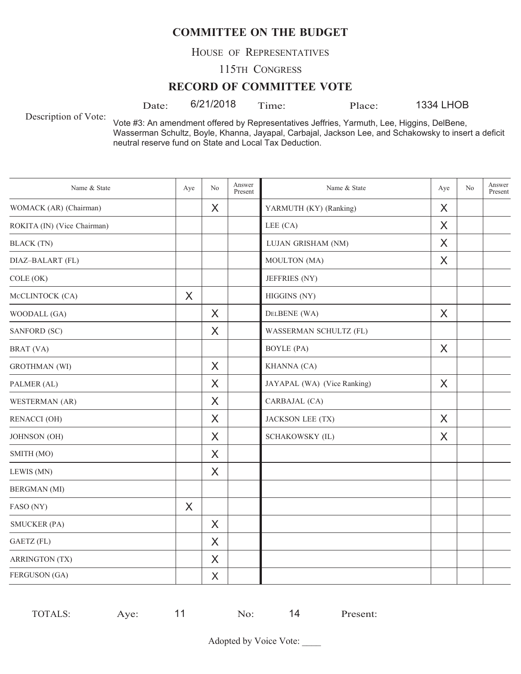HOUSE OF REPRESENTATIVES

115TH CONGRESS

#### **RECORD OF COMMITTEE VOTE**

Date:  $6/21/2018$  Time: Place:

1334 LHOB

Description of Vote:

Vote #3: An amendment offered by Representatives Jeffries, Yarmuth, Lee, Higgins, DelBene, Wasserman Schultz, Boyle, Khanna, Jayapal, Carbajal, Jackson Lee, and Schakowsky to insert a deficit neutral reserve fund on State and Local Tax Deduction.

| Name & State                | Aye      | No       | Answer<br>Present | Name & State                | Aye      | No | Answer<br>Present |
|-----------------------------|----------|----------|-------------------|-----------------------------|----------|----|-------------------|
| WOMACK (AR) (Chairman)      |          | X        |                   | YARMUTH (KY) (Ranking)      | X        |    |                   |
| ROKITA (IN) (Vice Chairman) |          |          |                   | LEE (CA)                    | $\times$ |    |                   |
| <b>BLACK</b> (TN)           |          |          |                   | LUJAN GRISHAM (NM)          | X        |    |                   |
| DIAZ-BALART (FL)            |          |          |                   | MOULTON (MA)                | X        |    |                   |
| COLE (OK)                   |          |          |                   | JEFFRIES (NY)               |          |    |                   |
| MCCLINTOCK (CA)             | $\times$ |          |                   | HIGGINS (NY)                |          |    |                   |
| WOODALL (GA)                |          | $\times$ |                   | DELBENE (WA)                | $\sf X$  |    |                   |
| SANFORD (SC)                |          | X        |                   | WASSERMAN SCHULTZ (FL)      |          |    |                   |
| BRAT (VA)                   |          |          |                   | <b>BOYLE</b> (PA)           | X        |    |                   |
| <b>GROTHMAN</b> (WI)        |          | X        |                   | KHANNA (CA)                 |          |    |                   |
| PALMER (AL)                 |          | X        |                   | JAYAPAL (WA) (Vice Ranking) | $\sf X$  |    |                   |
| WESTERMAN (AR)              |          | X        |                   | CARBAJAL (CA)               |          |    |                   |
| <b>RENACCI</b> (OH)         |          | X        |                   | JACKSON LEE (TX)            | X        |    |                   |
| JOHNSON (OH)                |          | $\times$ |                   | SCHAKOWSKY (IL)             | X        |    |                   |
| SMITH (MO)                  |          | X        |                   |                             |          |    |                   |
| LEWIS (MN)                  |          | X        |                   |                             |          |    |                   |
| <b>BERGMAN</b> (MI)         |          |          |                   |                             |          |    |                   |
| FASO (NY)                   | X        |          |                   |                             |          |    |                   |
| <b>SMUCKER (PA)</b>         |          | X        |                   |                             |          |    |                   |
| GAETZ (FL)                  |          | $\times$ |                   |                             |          |    |                   |
| <b>ARRINGTON (TX)</b>       |          | X        |                   |                             |          |    |                   |
| FERGUSON (GA)               |          | X        |                   |                             |          |    |                   |

| $V\rightarrow$<br>טשיי. | <b>TOTALS</b> | $\overline{\phantom{a}}$<br>$\mathcal{A}$ $\mathcal{C}$ | resent: |
|-------------------------|---------------|---------------------------------------------------------|---------|
|-------------------------|---------------|---------------------------------------------------------|---------|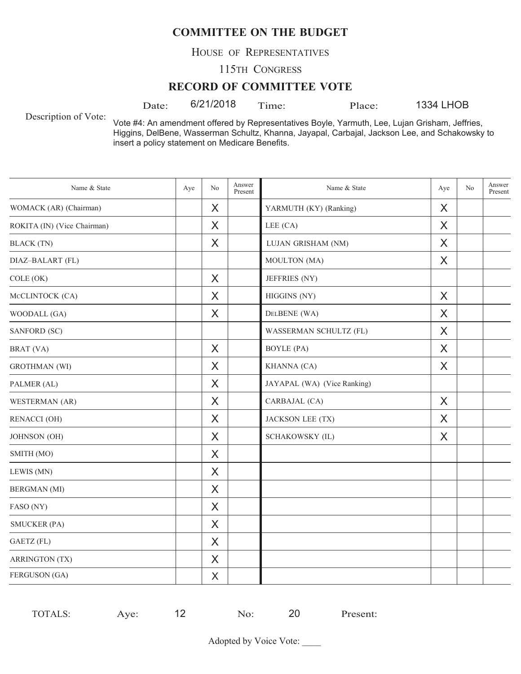HOUSE OF REPRESENTATIVES

115TH CONGRESS

#### **RECORD OF COMMITTEE VOTE**

Date:  $6/21/2018$  Time: Place:

1334 LHOB

Description of Vote:

Vote #4: An amendment offered by Representatives Boyle, Yarmuth, Lee, Lujan Grisham, Jeffries, Higgins, DelBene, Wasserman Schultz, Khanna, Jayapal, Carbajal, Jackson Lee, and Schakowsky to insert a policy statement on Medicare Benefits.

| Name & State                | Aye | No       | Answer<br>Present | Name & State                | Aye      | No | Answer<br>Present |
|-----------------------------|-----|----------|-------------------|-----------------------------|----------|----|-------------------|
| WOMACK (AR) (Chairman)      |     | X        |                   | YARMUTH (KY) (Ranking)      | X        |    |                   |
| ROKITA (IN) (Vice Chairman) |     | X        |                   | LEE $(CA)$                  | $\times$ |    |                   |
| <b>BLACK</b> (TN)           |     | X        |                   | LUJAN GRISHAM (NM)          | X        |    |                   |
| DIAZ-BALART (FL)            |     |          |                   | MOULTON (MA)                | X        |    |                   |
| COLE (OK)                   |     | X        |                   | JEFFRIES (NY)               |          |    |                   |
| MCCLINTOCK (CA)             |     | X        |                   | HIGGINS (NY)                | X        |    |                   |
| WOODALL (GA)                |     | X        |                   | DELBENE (WA)                | $\times$ |    |                   |
| SANFORD (SC)                |     |          |                   | WASSERMAN SCHULTZ (FL)      | X        |    |                   |
| BRAT (VA)                   |     | X        |                   | <b>BOYLE</b> (PA)           | X        |    |                   |
| <b>GROTHMAN</b> (WI)        |     | X        |                   | KHANNA (CA)                 | X        |    |                   |
| PALMER (AL)                 |     | $\times$ |                   | JAYAPAL (WA) (Vice Ranking) |          |    |                   |
| WESTERMAN (AR)              |     | X        |                   | CARBAJAL (CA)               | $\times$ |    |                   |
| <b>RENACCI (OH)</b>         |     | X        |                   | JACKSON LEE (TX)            | X        |    |                   |
| JOHNSON (OH)                |     | X        |                   | SCHAKOWSKY (IL)             | X        |    |                   |
| SMITH (MO)                  |     | X        |                   |                             |          |    |                   |
| LEWIS (MN)                  |     | X        |                   |                             |          |    |                   |
| <b>BERGMAN</b> (MI)         |     | X        |                   |                             |          |    |                   |
| FASO (NY)                   |     | X        |                   |                             |          |    |                   |
| <b>SMUCKER (PA)</b>         |     | X        |                   |                             |          |    |                   |
| GAETZ (FL)                  |     | X        |                   |                             |          |    |                   |
| <b>ARRINGTON (TX)</b>       |     | X        |                   |                             |          |    |                   |
| FERGUSON (GA)               |     | X        |                   |                             |          |    |                   |

| TOTALS: | ve.<br>$-$ |  | 20 | resent: |
|---------|------------|--|----|---------|
|         |            |  |    |         |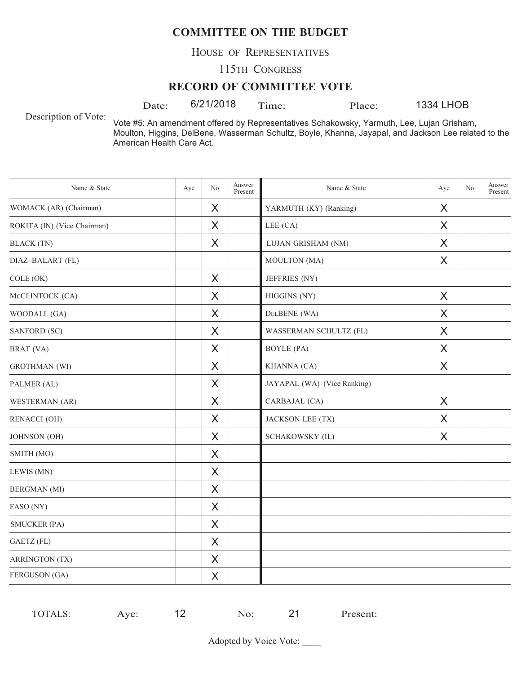HOUSE OF REPRESENTATIVES

115TH CONGRESS

#### **RECORD OF COMMITTEE VOTE**

Date:  $6/21/2018$  Time: Place:

1334 LHOB

Description of Vote:

Vote #5: An amendment offered by Representatives Schakowsky, Yarmuth, Lee, Lujan Grisham, Moulton, Higgins, DelBene, Wasserman Schultz, Boyle, Khanna, Jayapal, and Jackson Lee related to the American Health Care Act.

| Name & State                | Aye | N <sub>o</sub> | Answer<br>Present | Name & State                | Aye     | N <sub>o</sub> | Answer<br>Present |
|-----------------------------|-----|----------------|-------------------|-----------------------------|---------|----------------|-------------------|
| WOMACK (AR) (Chairman)      |     | X              |                   | YARMUTH (KY) (Ranking)      | X       |                |                   |
| ROKITA (IN) (Vice Chairman) |     | X              |                   | LEE (CA)                    | X       |                |                   |
| <b>BLACK</b> (TN)           |     | X              |                   | LUJAN GRISHAM (NM)          | X       |                |                   |
| DIAZ-BALART (FL)            |     |                |                   | MOULTON (MA)                | X       |                |                   |
| COLE(OK)                    |     | X              |                   | JEFFRIES (NY)               |         |                |                   |
| MCCLINTOCK (CA)             |     | X              |                   | HIGGINS (NY)                | X       |                |                   |
| WOODALL (GA)                |     | X              |                   | DELBENE (WA)                | X       |                |                   |
| SANFORD (SC)                |     | X              |                   | WASSERMAN SCHULTZ (FL)      | X       |                |                   |
| BRAT (VA)                   |     | X              |                   | <b>BOYLE</b> (PA)           | $\sf X$ |                |                   |
| <b>GROTHMAN</b> (WI)        |     | X              |                   | KHANNA (CA)                 | X       |                |                   |
| PALMER (AL)                 |     | X              |                   | JAYAPAL (WA) (Vice Ranking) |         |                |                   |
| WESTERMAN (AR)              |     | X              |                   | CARBAJAL (CA)               | X       |                |                   |
| <b>RENACCI (OH)</b>         |     | X              |                   | JACKSON LEE (TX)            | X       |                |                   |
| JOHNSON (OH)                |     | X              |                   | SCHAKOWSKY (IL)             | X       |                |                   |
| SMITH (MO)                  |     | $\times$       |                   |                             |         |                |                   |
| LEWIS (MN)                  |     | X              |                   |                             |         |                |                   |
| <b>BERGMAN</b> (MI)         |     | X              |                   |                             |         |                |                   |
| FASO (NY)                   |     | X              |                   |                             |         |                |                   |
| <b>SMUCKER (PA)</b>         |     | X              |                   |                             |         |                |                   |
| GAETZ (FL)                  |     | X              |                   |                             |         |                |                   |
| <b>ARRINGTON (TX)</b>       |     | X              |                   |                             |         |                |                   |
| FERGUSON (GA)               |     | $\times$       |                   |                             |         |                |                   |

| TOTALS:<br>14<br>resent:<br><b>Ve</b><br>$\sim$<br>$ -$ |
|---------------------------------------------------------|
|---------------------------------------------------------|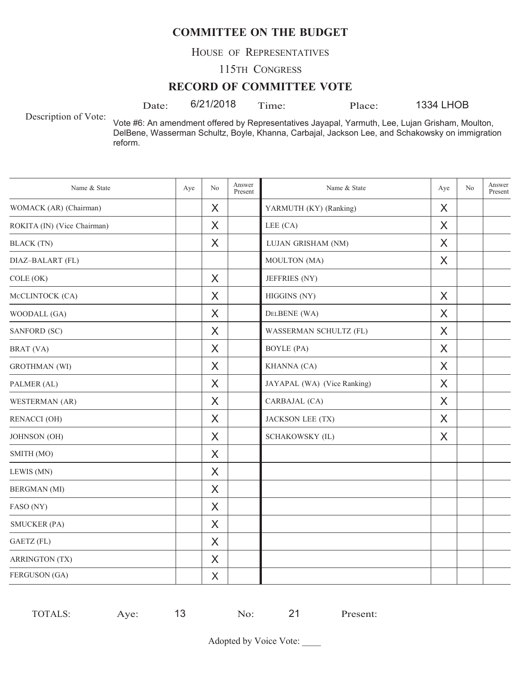HOUSE OF REPRESENTATIVES

115TH CONGRESS

#### **RECORD OF COMMITTEE VOTE**

Date: 6/21/2018 Time: Place:

1334 LHOB

Description of Vote:

Vote #6: An amendment offered by Representatives Jayapal, Yarmuth, Lee, Lujan Grisham, Moulton, DelBene, Wasserman Schultz, Boyle, Khanna, Carbajal, Jackson Lee, and Schakowsky on immigration reform.

| Name & State                | Aye | No       | Answer<br>Present | Name & State                | Aye      | No | Answer<br>Present |
|-----------------------------|-----|----------|-------------------|-----------------------------|----------|----|-------------------|
| WOMACK (AR) (Chairman)      |     | X        |                   | YARMUTH (KY) (Ranking)      | X        |    |                   |
| ROKITA (IN) (Vice Chairman) |     | X        |                   | LEE (CA)                    | $\times$ |    |                   |
| <b>BLACK</b> (TN)           |     | X        |                   | LUJAN GRISHAM (NM)          | X        |    |                   |
| DIAZ-BALART (FL)            |     |          |                   | MOULTON (MA)                | X        |    |                   |
| COLE (OK)                   |     | X        |                   | JEFFRIES (NY)               |          |    |                   |
| MCCLINTOCK (CA)             |     | X        |                   | HIGGINS (NY)                | X        |    |                   |
| WOODALL (GA)                |     | X        |                   | DELBENE (WA)                | $\times$ |    |                   |
| SANFORD (SC)                |     | X        |                   | WASSERMAN SCHULTZ (FL)      | X        |    |                   |
| BRAT (VA)                   |     | X        |                   | <b>BOYLE</b> (PA)           | X        |    |                   |
| <b>GROTHMAN</b> (WI)        |     | X        |                   | KHANNA (CA)                 | X        |    |                   |
| PALMER (AL)                 |     | $\times$ |                   | JAYAPAL (WA) (Vice Ranking) | X        |    |                   |
| WESTERMAN (AR)              |     | X        |                   | CARBAJAL (CA)               | $\times$ |    |                   |
| <b>RENACCI (OH)</b>         |     | X        |                   | JACKSON LEE (TX)            | X        |    |                   |
| JOHNSON (OH)                |     | X        |                   | SCHAKOWSKY (IL)             | X        |    |                   |
| SMITH (MO)                  |     | X        |                   |                             |          |    |                   |
| LEWIS (MN)                  |     | X        |                   |                             |          |    |                   |
| <b>BERGMAN</b> (MI)         |     | X        |                   |                             |          |    |                   |
| FASO (NY)                   |     | X        |                   |                             |          |    |                   |
| <b>SMUCKER (PA)</b>         |     | X        |                   |                             |          |    |                   |
| GAETZ (FL)                  |     | X        |                   |                             |          |    |                   |
| <b>ARRINGTON (TX)</b>       |     | $\times$ |                   |                             |          |    |                   |
| FERGUSON (GA)               |     | X        |                   |                             |          |    |                   |

| $ -$ | TOTALS: | ve. |  | $\sim$ | ^^ | resent: |
|------|---------|-----|--|--------|----|---------|
|------|---------|-----|--|--------|----|---------|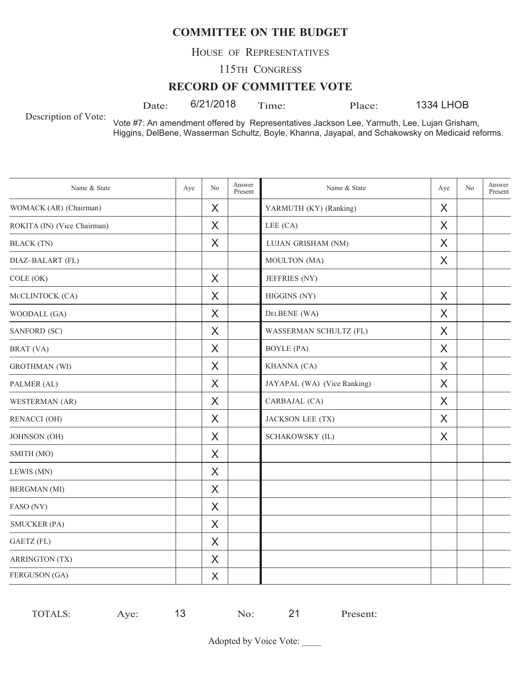HOUSE OF REPRESENTATIVES

115TH CONGRESS

#### **RECORD OF COMMITTEE VOTE**

Date: 6/21/2018 Time: Place:

1334 LHOB

Description of Vote:

Vote #7: An amendment offered by Representatives Jackson Lee, Yarmuth, Lee, Lujan Grisham, Higgins, DelBene, Wasserman Schultz, Boyle, Khanna, Jayapal, and Schakowsky on Medicaid reforms.

| Name & State                | Aye | No       | Answer<br>Present | Name & State                | Aye     | N <sub>o</sub> | Answer<br>Present |
|-----------------------------|-----|----------|-------------------|-----------------------------|---------|----------------|-------------------|
| WOMACK (AR) (Chairman)      |     | X        |                   | YARMUTH (KY) (Ranking)      | X       |                |                   |
| ROKITA (IN) (Vice Chairman) |     | $\times$ |                   | LEE (CA)                    | X       |                |                   |
| <b>BLACK</b> (TN)           |     | X        |                   | LUJAN GRISHAM (NM)          | X       |                |                   |
| DIAZ-BALART (FL)            |     |          |                   | MOULTON (MA)                | X       |                |                   |
| COLE (OK)                   |     | $\times$ |                   | JEFFRIES (NY)               |         |                |                   |
| MCCLINTOCK (CA)             |     | X        |                   | HIGGINS (NY)                | $\sf X$ |                |                   |
| WOODALL (GA)                |     | X        |                   | DELBENE (WA)                | X       |                |                   |
| SANFORD (SC)                |     | X        |                   | WASSERMAN SCHULTZ (FL)      | X       |                |                   |
| BRAT (VA)                   |     | X        |                   | <b>BOYLE</b> (PA)           | X       |                |                   |
| <b>GROTHMAN</b> (WI)        |     | X        |                   | KHANNA (CA)                 | X       |                |                   |
| PALMER (AL)                 |     | X        |                   | JAYAPAL (WA) (Vice Ranking) | X       |                |                   |
| WESTERMAN (AR)              |     | X        |                   | CARBAJAL (CA)               | X       |                |                   |
| <b>RENACCI (OH)</b>         |     | X        |                   | <b>JACKSON LEE (TX)</b>     | X       |                |                   |
| JOHNSON (OH)                |     | X        |                   | SCHAKOWSKY (IL)             | X       |                |                   |
| SMITH (MO)                  |     | $\times$ |                   |                             |         |                |                   |
| LEWIS (MN)                  |     | X        |                   |                             |         |                |                   |
| <b>BERGMAN</b> (MI)         |     | X        |                   |                             |         |                |                   |
| FASO (NY)                   |     | X        |                   |                             |         |                |                   |
| <b>SMUCKER (PA)</b>         |     | X        |                   |                             |         |                |                   |
| GAETZ (FL)                  |     | X        |                   |                             |         |                |                   |
| <b>ARRINGTON (TX)</b>       |     | X        |                   |                             |         |                |                   |
| FERGUSON (GA)               |     | X        |                   |                             |         |                |                   |

| $ -$ | TOTALS: | ve. |  | $\sim$ | ^^ | resent: |
|------|---------|-----|--|--------|----|---------|
|------|---------|-----|--|--------|----|---------|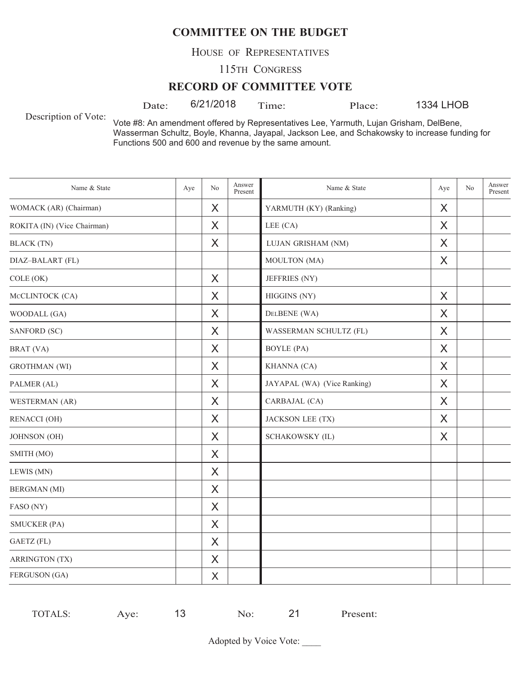HOUSE OF REPRESENTATIVES

115TH CONGRESS

#### **RECORD OF COMMITTEE VOTE**

Date:  $6/21/2018$  Time: Place:

1334 LHOB

Description of Vote:

Vote #8: An amendment offered by Representatives Lee, Yarmuth, Lujan Grisham, DelBene, Wasserman Schultz, Boyle, Khanna, Jayapal, Jackson Lee, and Schakowsky to increase funding for Functions 500 and 600 and revenue by the same amount.

| Name & State                | Aye | No       | Answer<br>Present | Name & State                | Aye      | No | Answer<br>Present |
|-----------------------------|-----|----------|-------------------|-----------------------------|----------|----|-------------------|
| WOMACK (AR) (Chairman)      |     | X        |                   | YARMUTH (KY) (Ranking)      | X        |    |                   |
| ROKITA (IN) (Vice Chairman) |     | $\times$ |                   | LEE (CA)                    | $\times$ |    |                   |
| <b>BLACK</b> (TN)           |     | X        |                   | LUJAN GRISHAM (NM)          | X        |    |                   |
| DIAZ-BALART (FL)            |     |          |                   | MOULTON (MA)                | X        |    |                   |
| COLE (OK)                   |     | X        |                   | JEFFRIES (NY)               |          |    |                   |
| MCCLINTOCK (CA)             |     | X        |                   | HIGGINS (NY)                | X        |    |                   |
| WOODALL (GA)                |     | $\sf X$  |                   | DELBENE (WA)                | $\times$ |    |                   |
| SANFORD (SC)                |     | X        |                   | WASSERMAN SCHULTZ (FL)      | X        |    |                   |
| BRAT (VA)                   |     | X        |                   | <b>BOYLE</b> (PA)           | X        |    |                   |
| <b>GROTHMAN</b> (WI)        |     | X        |                   | KHANNA (CA)                 | X        |    |                   |
| PALMER (AL)                 |     | X        |                   | JAYAPAL (WA) (Vice Ranking) | X        |    |                   |
| WESTERMAN (AR)              |     | $\sf X$  |                   | CARBAJAL (CA)               | $\times$ |    |                   |
| <b>RENACCI</b> (OH)         |     | X        |                   | JACKSON LEE (TX)            | X        |    |                   |
| JOHNSON (OH)                |     | X        |                   | SCHAKOWSKY (IL)             | X        |    |                   |
| SMITH (MO)                  |     | X        |                   |                             |          |    |                   |
| LEWIS (MN)                  |     | X        |                   |                             |          |    |                   |
| <b>BERGMAN</b> (MI)         |     | $\sf X$  |                   |                             |          |    |                   |
| FASO (NY)                   |     | X        |                   |                             |          |    |                   |
| <b>SMUCKER (PA)</b>         |     | X        |                   |                             |          |    |                   |
| GAETZ (FL)                  |     | X        |                   |                             |          |    |                   |
| <b>ARRINGTON (TX)</b>       |     | X        |                   |                             |          |    |                   |
| FERGUSON (GA)               |     | X        |                   |                             |          |    |                   |

| -<br>ve.<br>$\sim$<br>ำ∟ง. | TOTAI.S. |  |  | 1 ז | resent: |
|----------------------------|----------|--|--|-----|---------|
|----------------------------|----------|--|--|-----|---------|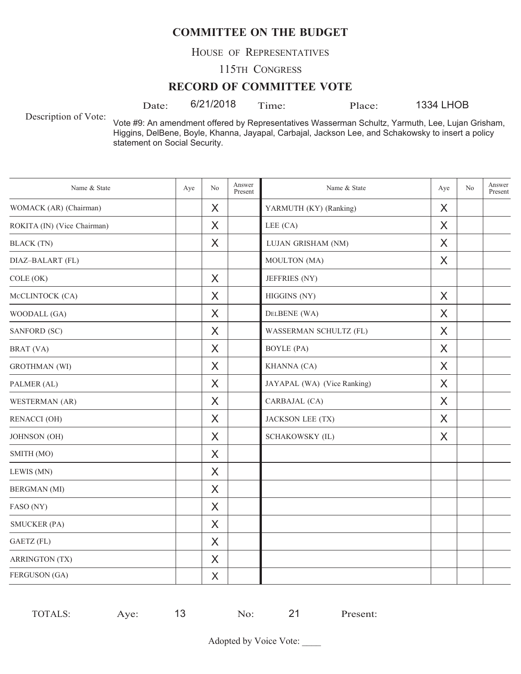HOUSE OF REPRESENTATIVES

115TH CONGRESS

#### **RECORD OF COMMITTEE VOTE**

Date:  $6/21/2018$  Time: Place:

1334 LHOB

Description of Vote:

Vote #9: An amendment offered by Representatives Wasserman Schultz, Yarmuth, Lee, Lujan Grisham, Higgins, DelBene, Boyle, Khanna, Jayapal, Carbajal, Jackson Lee, and Schakowsky to insert a policy statement on Social Security.

| Name & State                | Aye | N <sub>o</sub> | Answer<br>Present | Name & State                | Aye      | N <sub>o</sub> | Answer<br>Present |
|-----------------------------|-----|----------------|-------------------|-----------------------------|----------|----------------|-------------------|
| WOMACK (AR) (Chairman)      |     | X              |                   | YARMUTH (KY) (Ranking)      | X        |                |                   |
| ROKITA (IN) (Vice Chairman) |     | X              |                   | LEE (CA)                    | X        |                |                   |
| <b>BLACK</b> (TN)           |     | $\times$       |                   | LUJAN GRISHAM (NM)          | X        |                |                   |
| DIAZ-BALART (FL)            |     |                |                   | MOULTON (MA)                | X        |                |                   |
| COLE (OK)                   |     | X              |                   | JEFFRIES (NY)               |          |                |                   |
| MCCLINTOCK (CA)             |     | $\times$       |                   | HIGGINS (NY)                | $\times$ |                |                   |
| WOODALL (GA)                |     | X              |                   | DELBENE (WA)                | X        |                |                   |
| SANFORD (SC)                |     | X              |                   | WASSERMAN SCHULTZ (FL)      | X        |                |                   |
| BRAT (VA)                   |     | X              |                   | <b>BOYLE</b> (PA)           | X        |                |                   |
| <b>GROTHMAN</b> (WI)        |     | X              |                   | KHANNA (CA)                 | X        |                |                   |
| PALMER (AL)                 |     | X              |                   | JAYAPAL (WA) (Vice Ranking) | $\times$ |                |                   |
| WESTERMAN (AR)              |     | X              |                   | CARBAJAL (CA)               | X        |                |                   |
| <b>RENACCI (OH)</b>         |     | X              |                   | JACKSON LEE (TX)            | X        |                |                   |
| JOHNSON (OH)                |     | X              |                   | SCHAKOWSKY (IL)             | X        |                |                   |
| SMITH (MO)                  |     | X              |                   |                             |          |                |                   |
| LEWIS (MN)                  |     | X              |                   |                             |          |                |                   |
| <b>BERGMAN</b> (MI)         |     | $\times$       |                   |                             |          |                |                   |
| FASO (NY)                   |     | X              |                   |                             |          |                |                   |
| <b>SMUCKER (PA)</b>         |     | X              |                   |                             |          |                |                   |
| GAETZ (FL)                  |     | X              |                   |                             |          |                |                   |
| <b>ARRINGTON (TX)</b>       |     | X              |                   |                             |          |                |                   |
| FERGUSON (GA)               |     | X              |                   |                             |          |                |                   |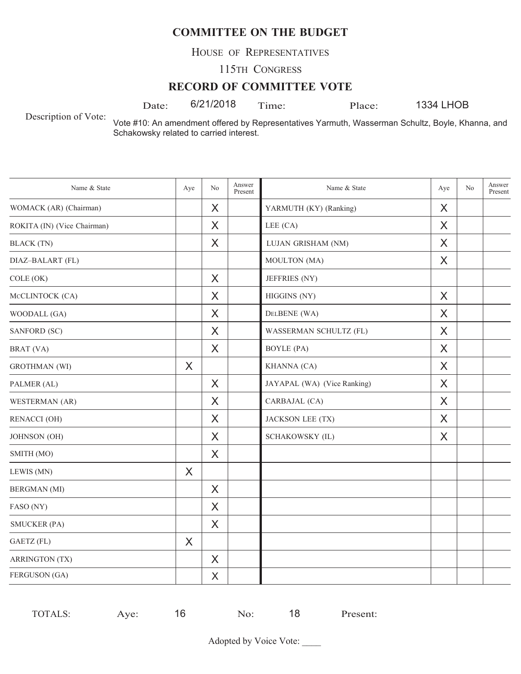HOUSE OF REPRESENTATIVES

115TH CONGRESS

#### **RECORD OF COMMITTEE VOTE**

Date: 6/21/2018 Time: Place:

1334 LHOB

Description of Vote:

Vote #10: An amendment offered by Representatives Yarmuth, Wasserman Schultz, Boyle, Khanna, and Schakowsky related to carried interest.

| Name & State                | Aye     | No       | Answer<br>Present | Name & State                | Aye | No | Answer<br>Present |
|-----------------------------|---------|----------|-------------------|-----------------------------|-----|----|-------------------|
| WOMACK (AR) (Chairman)      |         | X        |                   | YARMUTH (KY) (Ranking)      | X   |    |                   |
| ROKITA (IN) (Vice Chairman) |         | X        |                   | LEE (CA)                    | X   |    |                   |
| <b>BLACK</b> (TN)           |         | X        |                   | LUJAN GRISHAM (NM)          | X   |    |                   |
| DIAZ-BALART (FL)            |         |          |                   | MOULTON (MA)                | X   |    |                   |
| COLE (OK)                   |         | X        |                   | JEFFRIES (NY)               |     |    |                   |
| MCCLINTOCK (CA)             |         | X        |                   | HIGGINS (NY)                | X   |    |                   |
| WOODALL (GA)                |         | X        |                   | DELBENE (WA)                | X   |    |                   |
| SANFORD (SC)                |         | X        |                   | WASSERMAN SCHULTZ (FL)      | X   |    |                   |
| BRAT (VA)                   |         | X        |                   | <b>BOYLE</b> (PA)           | X   |    |                   |
| <b>GROTHMAN</b> (WI)        | $\sf X$ |          |                   | KHANNA (CA)                 | X   |    |                   |
| PALMER (AL)                 |         | $\times$ |                   | JAYAPAL (WA) (Vice Ranking) | X   |    |                   |
| WESTERMAN (AR)              |         | X        |                   | CARBAJAL (CA)               | X   |    |                   |
| <b>RENACCI (OH)</b>         |         | X        |                   | JACKSON LEE (TX)            | X   |    |                   |
| JOHNSON (OH)                |         | X        |                   | SCHAKOWSKY (IL)             | X   |    |                   |
| SMITH (MO)                  |         | X        |                   |                             |     |    |                   |
| LEWIS (MN)                  | X       |          |                   |                             |     |    |                   |
| <b>BERGMAN</b> (MI)         |         | X        |                   |                             |     |    |                   |
| FASO (NY)                   |         | X        |                   |                             |     |    |                   |
| <b>SMUCKER (PA)</b>         |         | X        |                   |                             |     |    |                   |
| <b>GAETZ</b> (FL)           | X       |          |                   |                             |     |    |                   |
| <b>ARRINGTON (TX)</b>       |         | X        |                   |                             |     |    |                   |
| FERGUSON (GA)               |         | X        |                   |                             |     |    |                   |

TOTALS: Aye: 16 No: 18 Present: 16 No: 18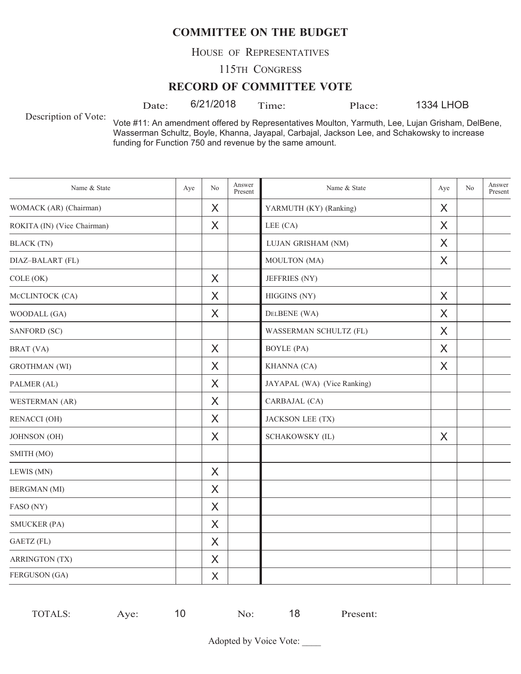HOUSE OF REPRESENTATIVES

115TH CONGRESS

#### **RECORD OF COMMITTEE VOTE**

Date:  $6/21/2018$  Time: Place:

1334 LHOB

Description of Vote:

Vote #11: An amendment offered by Representatives Moulton, Yarmuth, Lee, Lujan Grisham, DelBene, Wasserman Schultz, Boyle, Khanna, Jayapal, Carbajal, Jackson Lee, and Schakowsky to increase funding for Function 750 and revenue by the same amount.

| Name & State                | Aye | N <sub>o</sub> | Answer<br>Present | Name & State                | Aye     | No | Answer<br>Present |
|-----------------------------|-----|----------------|-------------------|-----------------------------|---------|----|-------------------|
| WOMACK (AR) (Chairman)      |     | X              |                   | YARMUTH (KY) (Ranking)      | X       |    |                   |
| ROKITA (IN) (Vice Chairman) |     | X              |                   | LEE (CA)                    | X       |    |                   |
| <b>BLACK</b> (TN)           |     |                |                   | LUJAN GRISHAM (NM)          | $\sf X$ |    |                   |
| DIAZ-BALART (FL)            |     |                |                   | MOULTON (MA)                | X       |    |                   |
| COLE (OK)                   |     | X              |                   | JEFFRIES (NY)               |         |    |                   |
| MCCLINTOCK (CA)             |     | $\times$       |                   | HIGGINS (NY)                | $\sf X$ |    |                   |
| WOODALL (GA)                |     | $\times$       |                   | DELBENE (WA)                | X       |    |                   |
| SANFORD (SC)                |     |                |                   | WASSERMAN SCHULTZ (FL)      | X       |    |                   |
| BRAT (VA)                   |     | $\times$       |                   | <b>BOYLE</b> (PA)           | X       |    |                   |
| <b>GROTHMAN</b> (WI)        |     | X              |                   | KHANNA (CA)                 | X       |    |                   |
| PALMER (AL)                 |     | $\times$       |                   | JAYAPAL (WA) (Vice Ranking) |         |    |                   |
| WESTERMAN (AR)              |     | X              |                   | CARBAJAL (CA)               |         |    |                   |
| <b>RENACCI (OH)</b>         |     | X              |                   | <b>JACKSON LEE (TX)</b>     |         |    |                   |
| JOHNSON (OH)                |     | X              |                   | SCHAKOWSKY (IL)             | X       |    |                   |
| SMITH (MO)                  |     |                |                   |                             |         |    |                   |
| LEWIS (MN)                  |     | $\times$       |                   |                             |         |    |                   |
| <b>BERGMAN</b> (MI)         |     | X              |                   |                             |         |    |                   |
| FASO (NY)                   |     | X              |                   |                             |         |    |                   |
| <b>SMUCKER (PA)</b>         |     | X              |                   |                             |         |    |                   |
| GAETZ (FL)                  |     | X              |                   |                             |         |    |                   |
| <b>ARRINGTON (TX)</b>       |     | $\times$       |                   |                             |         |    |                   |
| FERGUSON (GA)               |     | X              |                   |                             |         |    |                   |

| <b>TOTALS:</b> | $V\cap$<br>$\sim$ | ~<br>പറ | . O<br>۰O | Present: |
|----------------|-------------------|---------|-----------|----------|
|                |                   |         |           |          |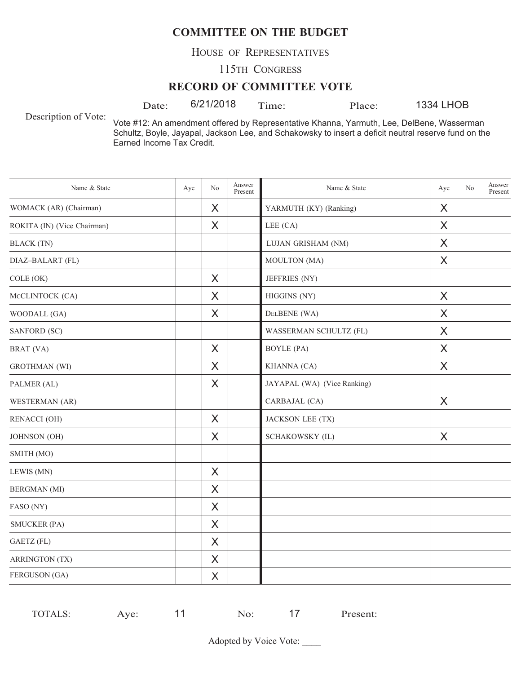HOUSE OF REPRESENTATIVES

115TH CONGRESS

#### **RECORD OF COMMITTEE VOTE**

Date:  $6/21/2018$  Time: Place:

1334 LHOB

Description of Vote:

Vote #12: An amendment offered by Representative Khanna, Yarmuth, Lee, DelBene, Wasserman Schultz, Boyle, Jayapal, Jackson Lee, and Schakowsky to insert a deficit neutral reserve fund on the Earned Income Tax Credit.

| Name & State                | Aye | No      | Answer<br>Present | Name & State                | Aye | N <sub>o</sub> | Answer<br>Present |
|-----------------------------|-----|---------|-------------------|-----------------------------|-----|----------------|-------------------|
| WOMACK (AR) (Chairman)      |     | X       |                   | YARMUTH (KY) (Ranking)      | X   |                |                   |
| ROKITA (IN) (Vice Chairman) |     | X       |                   | LEE (CA)                    | X   |                |                   |
| <b>BLACK</b> (TN)           |     |         |                   | LUJAN GRISHAM (NM)          | X   |                |                   |
| DIAZ-BALART (FL)            |     |         |                   | MOULTON (MA)                | X   |                |                   |
| COLE (OK)                   |     | X       |                   | JEFFRIES (NY)               |     |                |                   |
| MCCLINTOCK (CA)             |     | X       |                   | HIGGINS (NY)                | X   |                |                   |
| WOODALL (GA)                |     | X       |                   | DELBENE (WA)                | X   |                |                   |
| SANFORD (SC)                |     |         |                   | WASSERMAN SCHULTZ (FL)      | X   |                |                   |
| BRAT (VA)                   |     | X       |                   | <b>BOYLE</b> (PA)           | X   |                |                   |
| <b>GROTHMAN</b> (WI)        |     | X       |                   | KHANNA (CA)                 | X   |                |                   |
| PALMER (AL)                 |     | X       |                   | JAYAPAL (WA) (Vice Ranking) |     |                |                   |
| WESTERMAN (AR)              |     |         |                   | CARBAJAL (CA)               | X   |                |                   |
| <b>RENACCI (OH)</b>         |     | X       |                   | JACKSON LEE (TX)            |     |                |                   |
| JOHNSON (OH)                |     | X       |                   | SCHAKOWSKY (IL)             | X   |                |                   |
| SMITH (MO)                  |     |         |                   |                             |     |                |                   |
| LEWIS (MN)                  |     | $\sf X$ |                   |                             |     |                |                   |
| <b>BERGMAN</b> (MI)         |     | X       |                   |                             |     |                |                   |
| FASO (NY)                   |     | X       |                   |                             |     |                |                   |
| <b>SMUCKER (PA)</b>         |     | X       |                   |                             |     |                |                   |
| GAETZ (FL)                  |     | $\sf X$ |                   |                             |     |                |                   |
| <b>ARRINGTON (TX)</b>       |     | X       |                   |                             |     |                |                   |
| FERGUSON (GA)               |     | X       |                   |                             |     |                |                   |

| TOTALS:<br>. د ۱ | ve: | ↗ | $\sim$ | ▰ | Present: |
|------------------|-----|---|--------|---|----------|
|------------------|-----|---|--------|---|----------|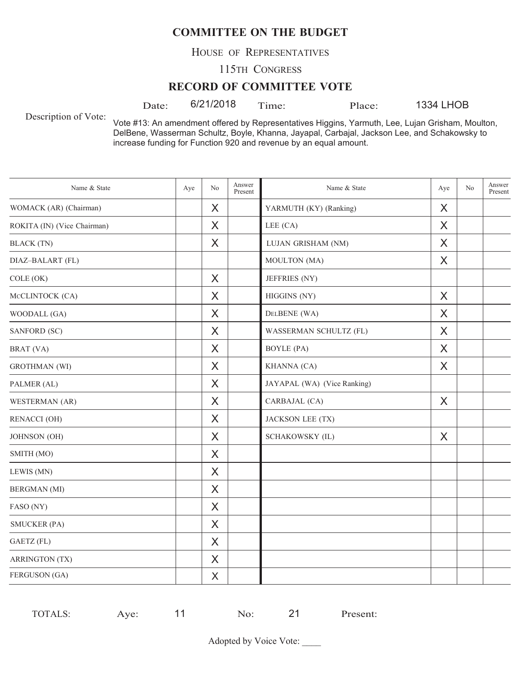HOUSE OF REPRESENTATIVES

115TH CONGRESS

#### **RECORD OF COMMITTEE VOTE**

Date:  $6/21/2018$  Time: Place:

1334 LHOB

Description of Vote:

Vote #13: An amendment offered by Representatives Higgins, Yarmuth, Lee, Lujan Grisham, Moulton, DelBene, Wasserman Schultz, Boyle, Khanna, Jayapal, Carbajal, Jackson Lee, and Schakowsky to increase funding for Function 920 and revenue by an equal amount.

| Name & State                | Aye | No       | Answer<br>Present | Name & State                | Aye     | N <sub>o</sub> | Answer<br>Present |
|-----------------------------|-----|----------|-------------------|-----------------------------|---------|----------------|-------------------|
| WOMACK (AR) (Chairman)      |     | X        |                   | YARMUTH (KY) (Ranking)      | X       |                |                   |
| ROKITA (IN) (Vice Chairman) |     | X        |                   | LEE (CA)                    | X       |                |                   |
| <b>BLACK</b> (TN)           |     | X        |                   | LUJAN GRISHAM (NM)          | X       |                |                   |
| DIAZ-BALART (FL)            |     |          |                   | MOULTON (MA)                | X       |                |                   |
| COLE (OK)                   |     | X        |                   | JEFFRIES (NY)               |         |                |                   |
| MCCLINTOCK (CA)             |     | $\times$ |                   | HIGGINS (NY)                | $\sf X$ |                |                   |
| WOODALL (GA)                |     | X        |                   | DELBENE (WA)                | X       |                |                   |
| SANFORD (SC)                |     | X        |                   | WASSERMAN SCHULTZ (FL)      | X       |                |                   |
| BRAT (VA)                   |     | X        |                   | <b>BOYLE</b> (PA)           | X       |                |                   |
| <b>GROTHMAN</b> (WI)        |     | X        |                   | KHANNA (CA)                 | X       |                |                   |
| PALMER (AL)                 |     | X        |                   | JAYAPAL (WA) (Vice Ranking) |         |                |                   |
| WESTERMAN (AR)              |     | X        |                   | CARBAJAL (CA)               | X       |                |                   |
| RENACCI (OH)                |     | X        |                   | JACKSON LEE (TX)            |         |                |                   |
| JOHNSON (OH)                |     | X        |                   | SCHAKOWSKY (IL)             | X       |                |                   |
| SMITH (MO)                  |     | X        |                   |                             |         |                |                   |
| LEWIS (MN)                  |     | $\times$ |                   |                             |         |                |                   |
| <b>BERGMAN</b> (MI)         |     | X        |                   |                             |         |                |                   |
| FASO (NY)                   |     | X        |                   |                             |         |                |                   |
| <b>SMUCKER (PA)</b>         |     | X        |                   |                             |         |                |                   |
| GAETZ (FL)                  |     | X        |                   |                             |         |                |                   |
| <b>ARRINGTON (TX)</b>       |     | X        |                   |                             |         |                |                   |
| FERGUSON (GA)               |     | $\sf X$  |                   |                             |         |                |                   |

| TOTALS: | $\nu e$<br>$\sim$ |  | No | ∼ו | resent: |
|---------|-------------------|--|----|----|---------|
|---------|-------------------|--|----|----|---------|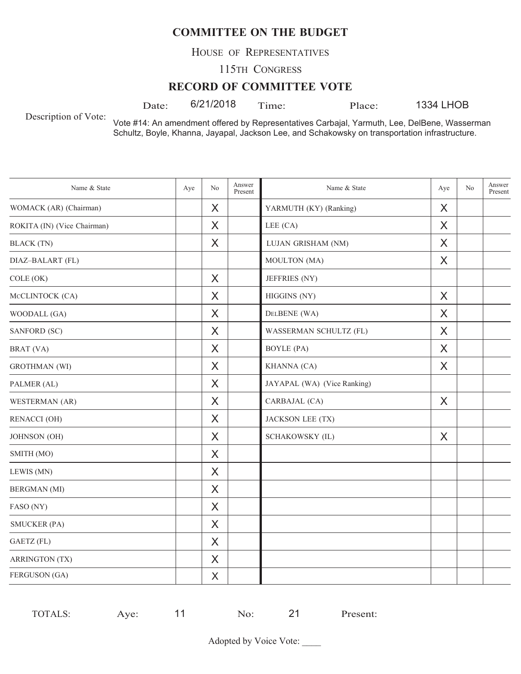HOUSE OF REPRESENTATIVES

115TH CONGRESS

#### **RECORD OF COMMITTEE VOTE**

Date: 6/21/2018 Time: Place:

1334 LHOB

Description of Vote:

Vote #14: An amendment offered by Representatives Carbajal, Yarmuth, Lee, DelBene, Wasserman Schultz, Boyle, Khanna, Jayapal, Jackson Lee, and Schakowsky on transportation infrastructure.

| Name & State                | Aye | No       | Answer<br>Present | Name & State                | Aye     | No | Answer<br>Present |
|-----------------------------|-----|----------|-------------------|-----------------------------|---------|----|-------------------|
| WOMACK (AR) (Chairman)      |     | X        |                   | YARMUTH (KY) (Ranking)      | X       |    |                   |
| ROKITA (IN) (Vice Chairman) |     | X        |                   | LEE (CA)                    | X       |    |                   |
| <b>BLACK</b> (TN)           |     | X        |                   | LUJAN GRISHAM (NM)          | X       |    |                   |
| DIAZ-BALART (FL)            |     |          |                   | MOULTON (MA)                | X       |    |                   |
| COLE (OK)                   |     | X        |                   | JEFFRIES (NY)               |         |    |                   |
| MCCLINTOCK (CA)             |     | $\times$ |                   | HIGGINS (NY)                | X       |    |                   |
| WOODALL (GA)                |     | $\sf X$  |                   | DELBENE (WA)                | $\sf X$ |    |                   |
| SANFORD (SC)                |     | X        |                   | WASSERMAN SCHULTZ (FL)      | X       |    |                   |
| BRAT (VA)                   |     | X        |                   | <b>BOYLE</b> (PA)           | X       |    |                   |
| <b>GROTHMAN</b> (WI)        |     | X        |                   | KHANNA (CA)                 | X       |    |                   |
| PALMER (AL)                 |     | $\times$ |                   | JAYAPAL (WA) (Vice Ranking) |         |    |                   |
| WESTERMAN (AR)              |     | $\times$ |                   | CARBAJAL (CA)               | $\sf X$ |    |                   |
| <b>RENACCI (OH)</b>         |     | X        |                   | JACKSON LEE (TX)            |         |    |                   |
| JOHNSON (OH)                |     | X        |                   | <b>SCHAKOWSKY (IL)</b>      | X       |    |                   |
| SMITH (MO)                  |     | X        |                   |                             |         |    |                   |
| LEWIS (MN)                  |     | $\sf X$  |                   |                             |         |    |                   |
| <b>BERGMAN</b> (MI)         |     | X        |                   |                             |         |    |                   |
| FASO (NY)                   |     | X        |                   |                             |         |    |                   |
| <b>SMUCKER (PA)</b>         |     | X        |                   |                             |         |    |                   |
| GAETZ (FL)                  |     | X        |                   |                             |         |    |                   |
| <b>ARRINGTON (TX)</b>       |     | $\sf X$  |                   |                             |         |    |                   |
| FERGUSON (GA)               |     | X        |                   |                             |         |    |                   |

| TOTALS: | ve. | $\sim$ | י ה | resent: |
|---------|-----|--------|-----|---------|
|---------|-----|--------|-----|---------|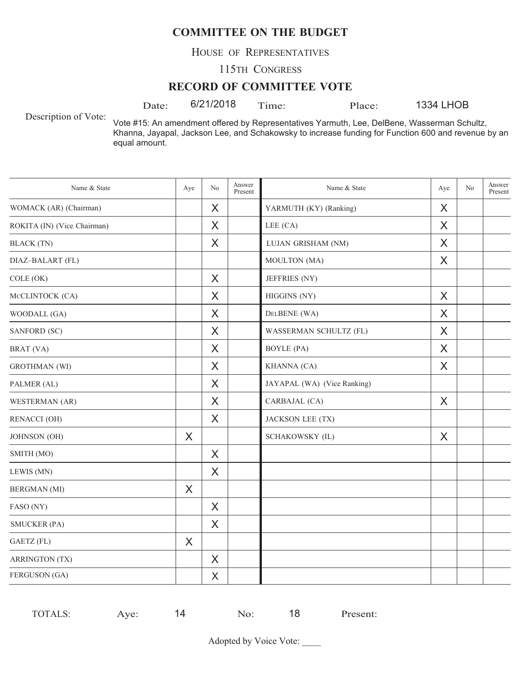HOUSE OF REPRESENTATIVES

115TH CONGRESS

#### **RECORD OF COMMITTEE VOTE**

Date:  $6/21/2018$  Time: Place:

1334 LHOB

Description of Vote:

Vote #15: An amendment offered by Representatives Yarmuth, Lee, DelBene, Wasserman Schultz, Khanna, Jayapal, Jackson Lee, and Schakowsky to increase funding for Function 600 and revenue by an equal amount.

| Name & State                | Aye | No       | Answer<br>Present | Name & State                | Aye      | N <sub>o</sub> | Answer<br>Present |
|-----------------------------|-----|----------|-------------------|-----------------------------|----------|----------------|-------------------|
| WOMACK (AR) (Chairman)      |     | X        |                   | YARMUTH (KY) (Ranking)      | X        |                |                   |
| ROKITA (IN) (Vice Chairman) |     | X        |                   | LEE $(CA)$                  | X        |                |                   |
| <b>BLACK</b> (TN)           |     | X        |                   | LUJAN GRISHAM (NM)          | X        |                |                   |
| DIAZ-BALART (FL)            |     |          |                   | MOULTON (MA)                | X        |                |                   |
| COLE (OK)                   |     | X        |                   | JEFFRIES (NY)               |          |                |                   |
| MCCLINTOCK (CA)             |     | X        |                   | HIGGINS (NY)                | $\times$ |                |                   |
| WOODALL (GA)                |     | X        |                   | DELBENE (WA)                | X        |                |                   |
| SANFORD (SC)                |     | X        |                   | WASSERMAN SCHULTZ (FL)      | X        |                |                   |
| BRAT (VA)                   |     | X        |                   | <b>BOYLE</b> (PA)           | X        |                |                   |
| <b>GROTHMAN</b> (WI)        |     | X        |                   | KHANNA (CA)                 | X        |                |                   |
| PALMER (AL)                 |     | $\times$ |                   | JAYAPAL (WA) (Vice Ranking) |          |                |                   |
| WESTERMAN (AR)              |     | X        |                   | CARBAJAL (CA)               | $\sf X$  |                |                   |
| <b>RENACCI (OH)</b>         |     | X        |                   | JACKSON LEE (TX)            |          |                |                   |
| JOHNSON (OH)                | X   |          |                   | <b>SCHAKOWSKY (IL)</b>      | X        |                |                   |
| SMITH (MO)                  |     | X        |                   |                             |          |                |                   |
| LEWIS (MN)                  |     | X        |                   |                             |          |                |                   |
| <b>BERGMAN</b> (MI)         | X   |          |                   |                             |          |                |                   |
| FASO (NY)                   |     | X        |                   |                             |          |                |                   |
| <b>SMUCKER (PA)</b>         |     | X        |                   |                             |          |                |                   |
| GAETZ (FL)                  | X   |          |                   |                             |          |                |                   |
| <b>ARRINGTON (TX)</b>       |     | $\sf X$  |                   |                             |          |                |                   |
| FERGUSON (GA)               |     | X        |                   |                             |          |                |                   |

| TOTAI.S<br>`∟ວ. | ve. | ▰<br>⊿ | $\sim$ | 1 O<br>ັ | Present: |
|-----------------|-----|--------|--------|----------|----------|
|                 |     |        |        |          |          |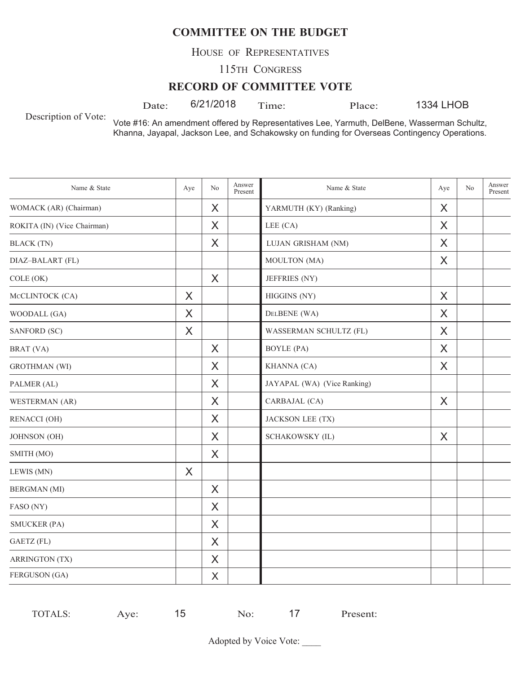HOUSE OF REPRESENTATIVES

115TH CONGRESS

#### **RECORD OF COMMITTEE VOTE**

Date:  $6/21/2018$  Time: Place:

1334 LHOB

Description of Vote:

Vote #16: An amendment offered by Representatives Lee, Yarmuth, DelBene, Wasserman Schultz, Khanna, Jayapal, Jackson Lee, and Schakowsky on funding for Overseas Contingency Operations.

| Name & State                | Aye     | N <sub>o</sub> | Answer<br>Present | Name & State                | Aye     | No | Answer<br>Present |
|-----------------------------|---------|----------------|-------------------|-----------------------------|---------|----|-------------------|
| WOMACK (AR) (Chairman)      |         | X              |                   | YARMUTH (KY) (Ranking)      | X       |    |                   |
| ROKITA (IN) (Vice Chairman) |         | X              |                   | LEE (CA)                    | X       |    |                   |
| <b>BLACK</b> (TN)           |         | X              |                   | LUJAN GRISHAM (NM)          | X       |    |                   |
| DIAZ-BALART (FL)            |         |                |                   | MOULTON (MA)                | X       |    |                   |
| COLE (OK)                   |         | X              |                   | JEFFRIES (NY)               |         |    |                   |
| MCCLINTOCK (CA)             | $\sf X$ |                |                   | HIGGINS (NY)                | $\sf X$ |    |                   |
| WOODALL (GA)                | X       |                |                   | DELBENE (WA)                | X       |    |                   |
| SANFORD (SC)                | X       |                |                   | WASSERMAN SCHULTZ (FL)      | X       |    |                   |
| BRAT (VA)                   |         | X              |                   | <b>BOYLE</b> (PA)           | X       |    |                   |
| <b>GROTHMAN</b> (WI)        |         | X              |                   | KHANNA (CA)                 | X       |    |                   |
| PALMER (AL)                 |         | $\times$       |                   | JAYAPAL (WA) (Vice Ranking) |         |    |                   |
| WESTERMAN (AR)              |         | X              |                   | CARBAJAL (CA)               | $\sf X$ |    |                   |
| <b>RENACCI (OH)</b>         |         | X              |                   | <b>JACKSON LEE (TX)</b>     |         |    |                   |
| JOHNSON (OH)                |         | X              |                   | SCHAKOWSKY (IL)             | X       |    |                   |
| SMITH (MO)                  |         | X              |                   |                             |         |    |                   |
| LEWIS (MN)                  | X       |                |                   |                             |         |    |                   |
| <b>BERGMAN</b> (MI)         |         | $\times$       |                   |                             |         |    |                   |
| FASO (NY)                   |         | X              |                   |                             |         |    |                   |
| <b>SMUCKER (PA)</b>         |         | X              |                   |                             |         |    |                   |
| GAETZ (FL)                  |         | X              |                   |                             |         |    |                   |
| <b>ARRINGTON (TX)</b>       |         | X              |                   |                             |         |    |                   |
| FERGUSON (GA)               |         | $\times$       |                   |                             |         |    |                   |

TOTALS: Aye: 15 No: 17 Present: 15 No: 17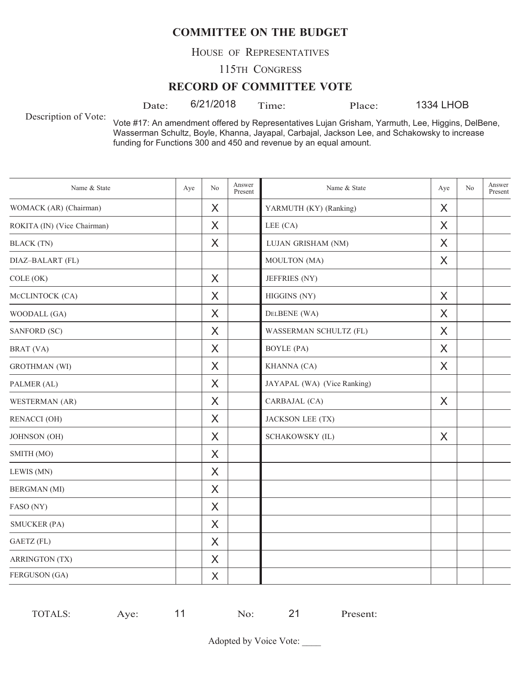HOUSE OF REPRESENTATIVES

115TH CONGRESS

#### **RECORD OF COMMITTEE VOTE**

Date:  $6/21/2018$  Time: Place:

1334 LHOB

Description of Vote:

Vote #17: An amendment offered by Representatives Lujan Grisham, Yarmuth, Lee, Higgins, DelBene, Wasserman Schultz, Boyle, Khanna, Jayapal, Carbajal, Jackson Lee, and Schakowsky to increase funding for Functions 300 and 450 and revenue by an equal amount.

| Name & State                | Aye | N <sub>o</sub> | Answer<br>Present | Name & State                | Aye     | N <sub>o</sub> | Answer<br>Present |
|-----------------------------|-----|----------------|-------------------|-----------------------------|---------|----------------|-------------------|
| WOMACK (AR) (Chairman)      |     | X              |                   | YARMUTH (KY) (Ranking)      | X       |                |                   |
| ROKITA (IN) (Vice Chairman) |     | X              |                   | LEE (CA)                    | X       |                |                   |
| <b>BLACK</b> (TN)           |     | X              |                   | LUJAN GRISHAM (NM)          | X       |                |                   |
| DIAZ-BALART (FL)            |     |                |                   | MOULTON (MA)                | X       |                |                   |
| COLE (OK)                   |     | X              |                   | JEFFRIES (NY)               |         |                |                   |
| MCCLINTOCK (CA)             |     | $\times$       |                   | HIGGINS (NY)                | $\sf X$ |                |                   |
| WOODALL (GA)                |     | X              |                   | DELBENE (WA)                | X       |                |                   |
| SANFORD (SC)                |     | X              |                   | WASSERMAN SCHULTZ (FL)      | X       |                |                   |
| BRAT (VA)                   |     | X              |                   | <b>BOYLE</b> (PA)           | X       |                |                   |
| <b>GROTHMAN</b> (WI)        |     | X              |                   | KHANNA (CA)                 | X       |                |                   |
| PALMER (AL)                 |     | $\times$       |                   | JAYAPAL (WA) (Vice Ranking) |         |                |                   |
| WESTERMAN (AR)              |     | X              |                   | CARBAJAL (CA)               | $\sf X$ |                |                   |
| <b>RENACCI (OH)</b>         |     | X              |                   | JACKSON LEE (TX)            |         |                |                   |
| JOHNSON (OH)                |     | X              |                   | SCHAKOWSKY (IL)             | X       |                |                   |
| SMITH (MO)                  |     | X              |                   |                             |         |                |                   |
| LEWIS (MN)                  |     | $\times$       |                   |                             |         |                |                   |
| <b>BERGMAN</b> (MI)         |     | $\times$       |                   |                             |         |                |                   |
| FASO (NY)                   |     | X              |                   |                             |         |                |                   |
| <b>SMUCKER (PA)</b>         |     | X              |                   |                             |         |                |                   |
| GAETZ (FL)                  |     | X              |                   |                             |         |                |                   |
| <b>ARRINGTON (TX)</b>       |     | $\times$       |                   |                             |         |                |                   |
| FERGUSON (GA)               |     | X              |                   |                             |         |                |                   |

| TOTALS: | ve. | $\sim$ | י ה | resent: |
|---------|-----|--------|-----|---------|
|---------|-----|--------|-----|---------|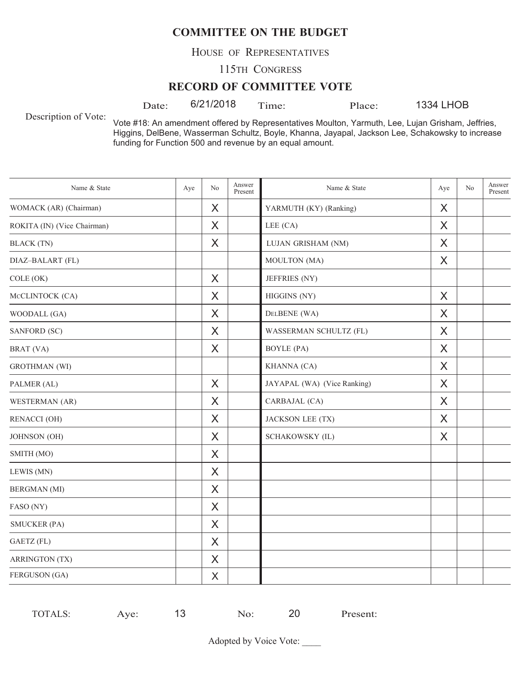HOUSE OF REPRESENTATIVES

115TH CONGRESS

#### **RECORD OF COMMITTEE VOTE**

Date:  $6/21/2018$  Time: Place:

1334 LHOB

Description of Vote:

Vote #18: An amendment offered by Representatives Moulton, Yarmuth, Lee, Lujan Grisham, Jeffries, Higgins, DelBene, Wasserman Schultz, Boyle, Khanna, Jayapal, Jackson Lee, Schakowsky to increase funding for Function 500 and revenue by an equal amount.

| Name & State                | Aye | No       | Answer<br>Present | Name & State                | Aye | N <sub>o</sub> | Answer<br>Present |
|-----------------------------|-----|----------|-------------------|-----------------------------|-----|----------------|-------------------|
| WOMACK (AR) (Chairman)      |     | X        |                   | YARMUTH (KY) (Ranking)      | X   |                |                   |
| ROKITA (IN) (Vice Chairman) |     | X        |                   | LEE (CA)                    | X   |                |                   |
| <b>BLACK</b> (TN)           |     | X        |                   | LUJAN GRISHAM (NM)          | X   |                |                   |
| DIAZ-BALART (FL)            |     |          |                   | MOULTON (MA)                | X   |                |                   |
| COLE (OK)                   |     | X        |                   | JEFFRIES (NY)               |     |                |                   |
| MCCLINTOCK (CA)             |     | $\times$ |                   | HIGGINS (NY)                | X   |                |                   |
| WOODALL (GA)                |     | $\times$ |                   | DELBENE (WA)                | X   |                |                   |
| SANFORD (SC)                |     | X        |                   | WASSERMAN SCHULTZ (FL)      | X   |                |                   |
| BRAT (VA)                   |     | X        |                   | <b>BOYLE</b> (PA)           | X   |                |                   |
| <b>GROTHMAN</b> (WI)        |     |          |                   | KHANNA (CA)                 | X   |                |                   |
| PALMER (AL)                 |     | $\times$ |                   | JAYAPAL (WA) (Vice Ranking) | X   |                |                   |
| WESTERMAN (AR)              |     | X        |                   | CARBAJAL (CA)               | X   |                |                   |
| <b>RENACCI (OH)</b>         |     | X        |                   | <b>JACKSON LEE (TX)</b>     | X   |                |                   |
| JOHNSON (OH)                |     | X        |                   | SCHAKOWSKY (IL)             | X   |                |                   |
| SMITH (MO)                  |     | X        |                   |                             |     |                |                   |
| LEWIS (MN)                  |     | X        |                   |                             |     |                |                   |
| <b>BERGMAN</b> (MI)         |     | X        |                   |                             |     |                |                   |
| FASO (NY)                   |     | X        |                   |                             |     |                |                   |
| <b>SMUCKER (PA)</b>         |     | X        |                   |                             |     |                |                   |
| <b>GAETZ</b> (FL)           |     | X        |                   |                             |     |                |                   |
| <b>ARRINGTON (TX)</b>       |     | X        |                   |                             |     |                |                   |
| FERGUSON (GA)               |     | $\times$ |                   |                             |     |                |                   |

| <b>TOTALS:</b> | $V\cap$<br>$\sim$ | ~<br>പറ | 20 | Present: |
|----------------|-------------------|---------|----|----------|
|                |                   |         |    |          |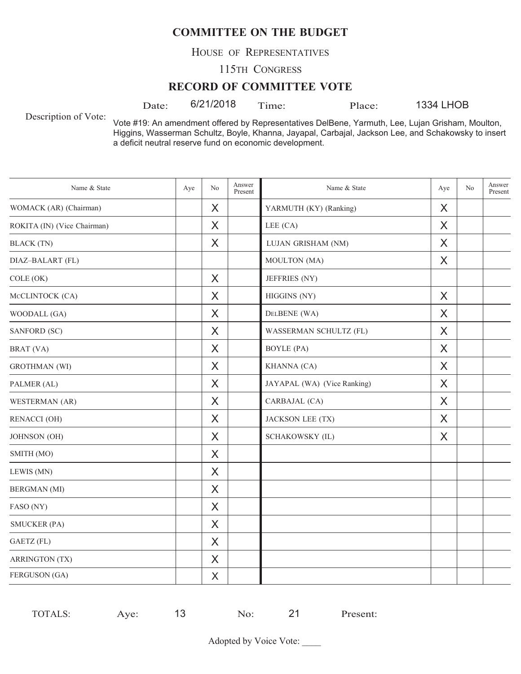HOUSE OF REPRESENTATIVES

115TH CONGRESS

#### **RECORD OF COMMITTEE VOTE**

Date:  $6/21/2018$  Time: Place:

1334 LHOB

Description of Vote:

Vote #19: An amendment offered by Representatives DelBene, Yarmuth, Lee, Lujan Grisham, Moulton, Higgins, Wasserman Schultz, Boyle, Khanna, Jayapal, Carbajal, Jackson Lee, and Schakowsky to insert a deficit neutral reserve fund on economic development.

| Name & State                | Aye | N <sub>o</sub> | Answer<br>Present | Name & State                | Aye     | No | Answer<br>Present |
|-----------------------------|-----|----------------|-------------------|-----------------------------|---------|----|-------------------|
| WOMACK (AR) (Chairman)      |     | X              |                   | YARMUTH (KY) (Ranking)      | X       |    |                   |
| ROKITA (IN) (Vice Chairman) |     | X              |                   | LEE (CA)                    | X       |    |                   |
| <b>BLACK</b> (TN)           |     | X              |                   | LUJAN GRISHAM (NM)          | X       |    |                   |
| DIAZ-BALART (FL)            |     |                |                   | MOULTON (MA)                | X       |    |                   |
| COLE (OK)                   |     | X              |                   | JEFFRIES (NY)               |         |    |                   |
| MCCLINTOCK (CA)             |     | X              |                   | HIGGINS (NY)                | $\sf X$ |    |                   |
| WOODALL (GA)                |     | X              |                   | DELBENE (WA)                | X       |    |                   |
| SANFORD (SC)                |     | X              |                   | WASSERMAN SCHULTZ (FL)      | X       |    |                   |
| BRAT (VA)                   |     | X              |                   | <b>BOYLE</b> (PA)           | X       |    |                   |
| <b>GROTHMAN</b> (WI)        |     | X              |                   | KHANNA (CA)                 | X       |    |                   |
| PALMER (AL)                 |     | X              |                   | JAYAPAL (WA) (Vice Ranking) | X       |    |                   |
| WESTERMAN (AR)              |     | X              |                   | CARBAJAL (CA)               | X       |    |                   |
| <b>RENACCI (OH)</b>         |     | X              |                   | <b>JACKSON LEE (TX)</b>     | X       |    |                   |
| JOHNSON (OH)                |     | X              |                   | <b>SCHAKOWSKY (IL)</b>      | X       |    |                   |
| SMITH (MO)                  |     | X              |                   |                             |         |    |                   |
| LEWIS (MN)                  |     | X              |                   |                             |         |    |                   |
| <b>BERGMAN</b> (MI)         |     | X              |                   |                             |         |    |                   |
| FASO (NY)                   |     | X              |                   |                             |         |    |                   |
| <b>SMUCKER (PA)</b>         |     | X              |                   |                             |         |    |                   |
| GAETZ (FL)                  |     | X              |                   |                             |         |    |                   |
| <b>ARRINGTON (TX)</b>       |     | $\times$       |                   |                             |         |    |                   |
| FERGUSON (GA)               |     | X              |                   |                             |         |    |                   |

| -<br>ve.<br>$\sim$<br>ำ∟ง. | TOTAI.S. |  |  | 1 ז | resent: |
|----------------------------|----------|--|--|-----|---------|
|----------------------------|----------|--|--|-----|---------|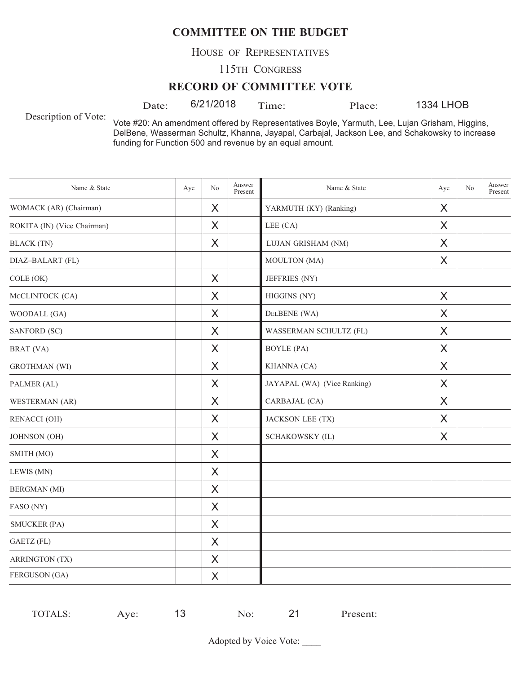HOUSE OF REPRESENTATIVES

115TH CONGRESS

#### **RECORD OF COMMITTEE VOTE**

Description of Vote:

Date:  $6/21/2018$  Time: Place:

1334 LHOB

Vote #20: An amendment offered by Representatives Boyle, Yarmuth, Lee, Lujan Grisham, Higgins, DelBene, Wasserman Schultz, Khanna, Jayapal, Carbajal, Jackson Lee, and Schakowsky to increase funding for Function 500 and revenue by an equal amount.

| Name & State                | Aye | No       | Answer<br>Present | Name & State                | Aye | N <sub>o</sub> | Answer<br>Present |
|-----------------------------|-----|----------|-------------------|-----------------------------|-----|----------------|-------------------|
| WOMACK (AR) (Chairman)      |     | X        |                   | YARMUTH (KY) (Ranking)      | X   |                |                   |
| ROKITA (IN) (Vice Chairman) |     | X        |                   | LEE (CA)                    | X   |                |                   |
| <b>BLACK</b> (TN)           |     | X        |                   | LUJAN GRISHAM (NM)          | X   |                |                   |
| DIAZ-BALART (FL)            |     |          |                   | MOULTON (MA)                | X   |                |                   |
| COLE (OK)                   |     | $\sf X$  |                   | JEFFRIES (NY)               |     |                |                   |
| MCCLINTOCK (CA)             |     | X        |                   | HIGGINS (NY)                | X   |                |                   |
| WOODALL (GA)                |     | X        |                   | DELBENE (WA)                | X   |                |                   |
| SANFORD (SC)                |     | X        |                   | WASSERMAN SCHULTZ (FL)      | X   |                |                   |
| BRAT (VA)                   |     | X        |                   | <b>BOYLE</b> (PA)           | X   |                |                   |
| <b>GROTHMAN</b> (WI)        |     | $\times$ |                   | KHANNA (CA)                 | X   |                |                   |
| PALMER (AL)                 |     | X        |                   | JAYAPAL (WA) (Vice Ranking) | X   |                |                   |
| WESTERMAN (AR)              |     | X        |                   | CARBAJAL (CA)               | X   |                |                   |
| RENACCI (OH)                |     | X        |                   | JACKSON LEE (TX)            | X   |                |                   |
| JOHNSON (OH)                |     | X        |                   | SCHAKOWSKY (IL)             | X   |                |                   |
| SMITH (MO)                  |     | $\times$ |                   |                             |     |                |                   |
| LEWIS (MN)                  |     | X        |                   |                             |     |                |                   |
| <b>BERGMAN</b> (MI)         |     | X        |                   |                             |     |                |                   |
| FASO (NY)                   |     | X        |                   |                             |     |                |                   |
| <b>SMUCKER (PA)</b>         |     | X        |                   |                             |     |                |                   |
| GAETZ (FL)                  |     | $\times$ |                   |                             |     |                |                   |
| <b>ARRINGTON (TX)</b>       |     | X        |                   |                             |     |                |                   |
| FERGUSON (GA)               |     | X        |                   |                             |     |                |                   |

TOTALS: Aye: 13 No: 21 Present: 13 No: 21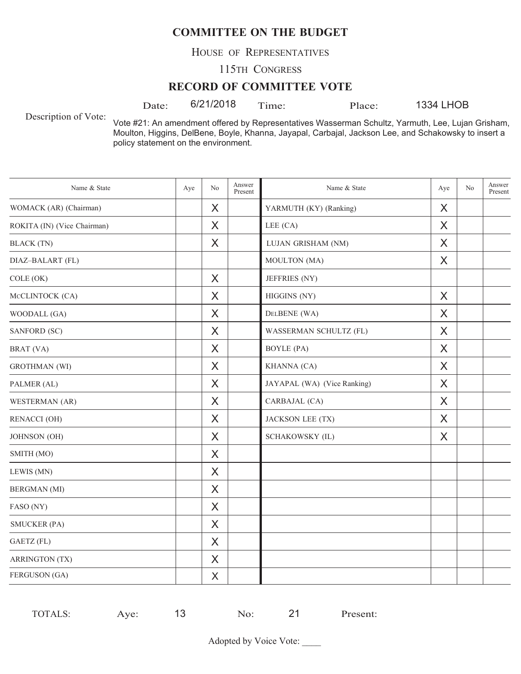HOUSE OF REPRESENTATIVES

115TH CONGRESS

#### **RECORD OF COMMITTEE VOTE**

Date:  $6/21/2018$  Time: Place:

1334 LHOB

Description of Vote:

Vote #21: An amendment offered by Representatives Wasserman Schultz, Yarmuth, Lee, Lujan Grisham, Moulton, Higgins, DelBene, Boyle, Khanna, Jayapal, Carbajal, Jackson Lee, and Schakowsky to insert a policy statement on the environment.

| Name & State                | Aye | N <sub>o</sub> | Answer<br>Present | Name & State                | Aye     | No | Answer<br>Present |
|-----------------------------|-----|----------------|-------------------|-----------------------------|---------|----|-------------------|
| WOMACK (AR) (Chairman)      |     | X              |                   | YARMUTH (KY) (Ranking)      | X       |    |                   |
| ROKITA (IN) (Vice Chairman) |     | X              |                   | LEE (CA)                    | X       |    |                   |
| <b>BLACK</b> (TN)           |     | X              |                   | LUJAN GRISHAM (NM)          | X       |    |                   |
| DIAZ-BALART (FL)            |     |                |                   | MOULTON (MA)                | X       |    |                   |
| COLE (OK)                   |     | X              |                   | JEFFRIES (NY)               |         |    |                   |
| MCCLINTOCK (CA)             |     | X              |                   | HIGGINS (NY)                | $\sf X$ |    |                   |
| WOODALL (GA)                |     | X              |                   | DELBENE (WA)                | X       |    |                   |
| SANFORD (SC)                |     | X              |                   | WASSERMAN SCHULTZ (FL)      | X       |    |                   |
| BRAT (VA)                   |     | X              |                   | <b>BOYLE</b> (PA)           | X       |    |                   |
| <b>GROTHMAN</b> (WI)        |     | X              |                   | KHANNA (CA)                 | X       |    |                   |
| PALMER (AL)                 |     | X              |                   | JAYAPAL (WA) (Vice Ranking) | X       |    |                   |
| WESTERMAN (AR)              |     | X              |                   | CARBAJAL (CA)               | X       |    |                   |
| <b>RENACCI (OH)</b>         |     | X              |                   | <b>JACKSON LEE (TX)</b>     | X       |    |                   |
| JOHNSON (OH)                |     | X              |                   | <b>SCHAKOWSKY (IL)</b>      | X       |    |                   |
| SMITH (MO)                  |     | X              |                   |                             |         |    |                   |
| LEWIS (MN)                  |     | X              |                   |                             |         |    |                   |
| <b>BERGMAN</b> (MI)         |     | X              |                   |                             |         |    |                   |
| FASO (NY)                   |     | X              |                   |                             |         |    |                   |
| <b>SMUCKER (PA)</b>         |     | X              |                   |                             |         |    |                   |
| GAETZ (FL)                  |     | X              |                   |                             |         |    |                   |
| <b>ARRINGTON (TX)</b>       |     | $\times$       |                   |                             |         |    |                   |
| FERGUSON (GA)               |     | X              |                   |                             |         |    |                   |

| TOTALS:<br>$\nu e$<br>$\mathbf{N}$ $\mathbf{\Omega}$<br>- 11<br>$\sim$ | ∼ו | resent: |
|------------------------------------------------------------------------|----|---------|
|------------------------------------------------------------------------|----|---------|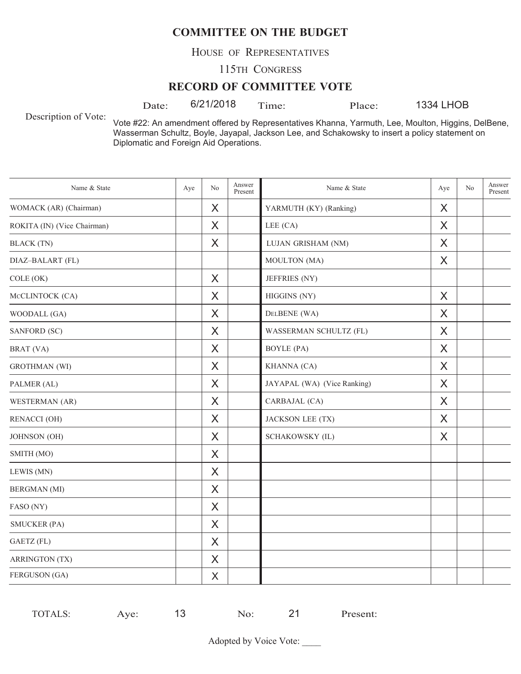HOUSE OF REPRESENTATIVES

115TH CONGRESS

#### **RECORD OF COMMITTEE VOTE**

Description of Vote:

Date:  $6/21/2018$  Time: Place:

1334 LHOB

Vote #22: An amendment offered by Representatives Khanna, Yarmuth, Lee, Moulton, Higgins, DelBene, Wasserman Schultz, Boyle, Jayapal, Jackson Lee, and Schakowsky to insert a policy statement on Diplomatic and Foreign Aid Operations.

| Name & State                | Aye | No       | Answer<br>Present | Name & State                | Aye      | No | Answer<br>Present |
|-----------------------------|-----|----------|-------------------|-----------------------------|----------|----|-------------------|
| WOMACK (AR) (Chairman)      |     | X        |                   | YARMUTH (KY) (Ranking)      | X        |    |                   |
| ROKITA (IN) (Vice Chairman) |     | X        |                   | LEE (CA)                    | X        |    |                   |
| <b>BLACK</b> (TN)           |     | X        |                   | LUJAN GRISHAM (NM)          | X        |    |                   |
| DIAZ-BALART (FL)            |     |          |                   | MOULTON (MA)                | X        |    |                   |
| COLE (OK)                   |     | $\times$ |                   | JEFFRIES (NY)               |          |    |                   |
| MCCLINTOCK (CA)             |     | X        |                   | HIGGINS (NY)                | $\times$ |    |                   |
| WOODALL (GA)                |     | X        |                   | DELBENE (WA)                | X        |    |                   |
| SANFORD (SC)                |     | X        |                   | WASSERMAN SCHULTZ (FL)      | X        |    |                   |
| BRAT (VA)                   |     | X        |                   | <b>BOYLE</b> (PA)           | X        |    |                   |
| <b>GROTHMAN</b> (WI)        |     | X        |                   | KHANNA (CA)                 | X        |    |                   |
| PALMER (AL)                 |     | $\sf X$  |                   | JAYAPAL (WA) (Vice Ranking) | $\times$ |    |                   |
| WESTERMAN (AR)              |     | X        |                   | CARBAJAL (CA)               | X        |    |                   |
| RENACCI (OH)                |     | X        |                   | JACKSON LEE (TX)            | X        |    |                   |
| <b>JOHNSON</b> (OH)         |     | X        |                   | <b>SCHAKOWSKY (IL)</b>      | X        |    |                   |
| SMITH (MO)                  |     | X        |                   |                             |          |    |                   |
| LEWIS (MN)                  |     | X        |                   |                             |          |    |                   |
| <b>BERGMAN</b> (MI)         |     | X        |                   |                             |          |    |                   |
| FASO (NY)                   |     | X        |                   |                             |          |    |                   |
| <b>SMUCKER (PA)</b>         |     | X        |                   |                             |          |    |                   |
| GAETZ (FL)                  |     | X        |                   |                             |          |    |                   |
| <b>ARRINGTON (TX)</b>       |     | X        |                   |                             |          |    |                   |
| FERGUSON (GA)               |     | $\sf X$  |                   |                             |          |    |                   |

TOTALS: Aye: 13 No: 21 Present: 13 No: 21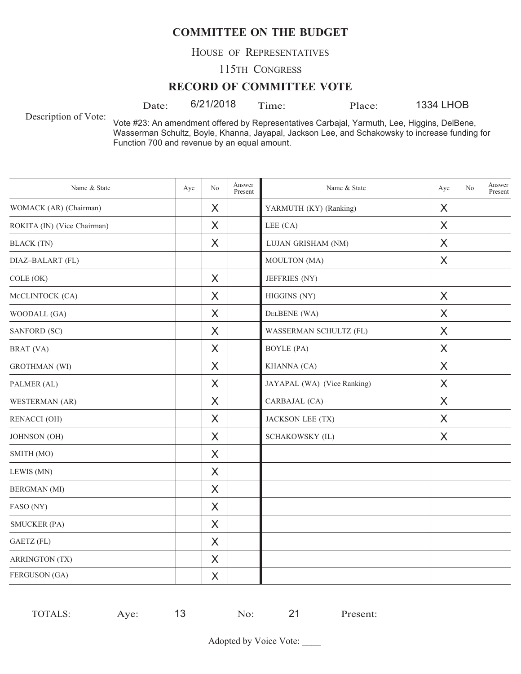HOUSE OF REPRESENTATIVES

115TH CONGRESS

#### **RECORD OF COMMITTEE VOTE**

Date:  $6/21/2018$  Time: Place:

1334 LHOB

Description of Vote:

Vote #23: An amendment offered by Representatives Carbajal, Yarmuth, Lee, Higgins, DelBene, Wasserman Schultz, Boyle, Khanna, Jayapal, Jackson Lee, and Schakowsky to increase funding for Function 700 and revenue by an equal amount.

| Name & State                | Aye | No       | Answer<br>Present | Name & State                | Aye      | No | Answer<br>Present |
|-----------------------------|-----|----------|-------------------|-----------------------------|----------|----|-------------------|
| WOMACK (AR) (Chairman)      |     | X        |                   | YARMUTH (KY) (Ranking)      | X        |    |                   |
| ROKITA (IN) (Vice Chairman) |     | $\sf X$  |                   | LEE (CA)                    | $\times$ |    |                   |
| <b>BLACK</b> (TN)           |     | X        |                   | LUJAN GRISHAM (NM)          | X        |    |                   |
| DIAZ-BALART (FL)            |     |          |                   | MOULTON (MA)                | X        |    |                   |
| COLE (OK)                   |     | X        |                   | JEFFRIES (NY)               |          |    |                   |
| MCCLINTOCK (CA)             |     | $\times$ |                   | HIGGINS (NY)                | $\times$ |    |                   |
| WOODALL (GA)                |     | $\sf X$  |                   | DELBENE (WA)                | $\times$ |    |                   |
| SANFORD (SC)                |     | X        |                   | WASSERMAN SCHULTZ (FL)      | X        |    |                   |
| BRAT (VA)                   |     | X        |                   | <b>BOYLE</b> (PA)           | X        |    |                   |
| <b>GROTHMAN</b> (WI)        |     | X        |                   | KHANNA (CA)                 | X        |    |                   |
| PALMER (AL)                 |     | X        |                   | JAYAPAL (WA) (Vice Ranking) | X        |    |                   |
| WESTERMAN (AR)              |     | X        |                   | CARBAJAL (CA)               | X        |    |                   |
| <b>RENACCI (OH)</b>         |     | X        |                   | JACKSON LEE (TX)            | X        |    |                   |
| JOHNSON (OH)                |     | X        |                   | SCHAKOWSKY (IL)             | X        |    |                   |
| SMITH (MO)                  |     | X        |                   |                             |          |    |                   |
| LEWIS (MN)                  |     | X        |                   |                             |          |    |                   |
| <b>BERGMAN</b> (MI)         |     | $\times$ |                   |                             |          |    |                   |
| FASO (NY)                   |     | X        |                   |                             |          |    |                   |
| <b>SMUCKER (PA)</b>         |     | X        |                   |                             |          |    |                   |
| GAETZ (FL)                  |     | X        |                   |                             |          |    |                   |
| <b>ARRINGTON (TX)</b>       |     | X        |                   |                             |          |    |                   |
| FERGUSON (GA)               |     | X        |                   |                             |          |    |                   |

| -<br>ve.<br>$\sim$<br>ำ∟ง. | TOTAI.S. |  |  | 1 ז | resent: |
|----------------------------|----------|--|--|-----|---------|
|----------------------------|----------|--|--|-----|---------|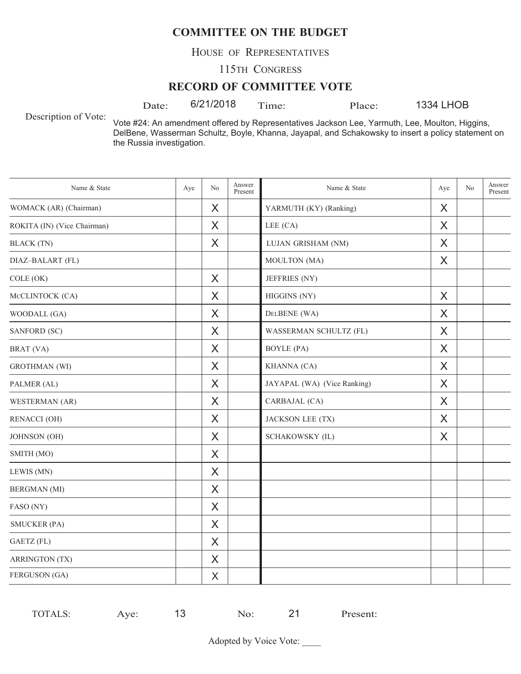HOUSE OF REPRESENTATIVES

115TH CONGRESS

#### **RECORD OF COMMITTEE VOTE**

Date:  $6/21/2018$  Time: Place:

1334 LHOB

Description of Vote:

Vote #24: An amendment offered by Representatives Jackson Lee, Yarmuth, Lee, Moulton, Higgins, DelBene, Wasserman Schultz, Boyle, Khanna, Jayapal, and Schakowsky to insert a policy statement on the Russia investigation.

| Name & State                | Aye | No      | Answer<br>Present | Name & State                | Aye | N <sub>o</sub> | Answer<br>Present |
|-----------------------------|-----|---------|-------------------|-----------------------------|-----|----------------|-------------------|
| WOMACK (AR) (Chairman)      |     | X       |                   | YARMUTH (KY) (Ranking)      | X   |                |                   |
| ROKITA (IN) (Vice Chairman) |     | X       |                   | LEE (CA)                    | X   |                |                   |
| <b>BLACK</b> (TN)           |     | X       |                   | LUJAN GRISHAM (NM)          | X   |                |                   |
| DIAZ-BALART (FL)            |     |         |                   | MOULTON (MA)                | X   |                |                   |
| COLE (OK)                   |     | X       |                   | JEFFRIES (NY)               |     |                |                   |
| MCCLINTOCK (CA)             |     | X       |                   | HIGGINS (NY)                | X   |                |                   |
| WOODALL (GA)                |     | X       |                   | DELBENE (WA)                | X   |                |                   |
| SANFORD (SC)                |     | X       |                   | WASSERMAN SCHULTZ (FL)      | X   |                |                   |
| BRAT (VA)                   |     | X       |                   | <b>BOYLE</b> (PA)           | X   |                |                   |
| <b>GROTHMAN</b> (WI)        |     | X       |                   | KHANNA (CA)                 | X   |                |                   |
| PALMER (AL)                 |     | X       |                   | JAYAPAL (WA) (Vice Ranking) | X   |                |                   |
| WESTERMAN (AR)              |     | X       |                   | CARBAJAL (CA)               | X   |                |                   |
| <b>RENACCI (OH)</b>         |     | X       |                   | JACKSON LEE (TX)            | X   |                |                   |
| JOHNSON (OH)                |     | X       |                   | <b>SCHAKOWSKY (IL)</b>      | X   |                |                   |
| SMITH (MO)                  |     | X       |                   |                             |     |                |                   |
| LEWIS (MN)                  |     | X       |                   |                             |     |                |                   |
| <b>BERGMAN</b> (MI)         |     | X       |                   |                             |     |                |                   |
| FASO (NY)                   |     | X       |                   |                             |     |                |                   |
| <b>SMUCKER (PA)</b>         |     | X       |                   |                             |     |                |                   |
| GAETZ (FL)                  |     | $\sf X$ |                   |                             |     |                |                   |
| <b>ARRINGTON (TX)</b>       |     | X       |                   |                             |     |                |                   |
| FERGUSON (GA)               |     | X       |                   |                             |     |                |                   |

| -<br>ve.<br>$\sim$<br>ำ∟ง. | TOTAI.S. |  |  | 1 ז | resent: |
|----------------------------|----------|--|--|-----|---------|
|----------------------------|----------|--|--|-----|---------|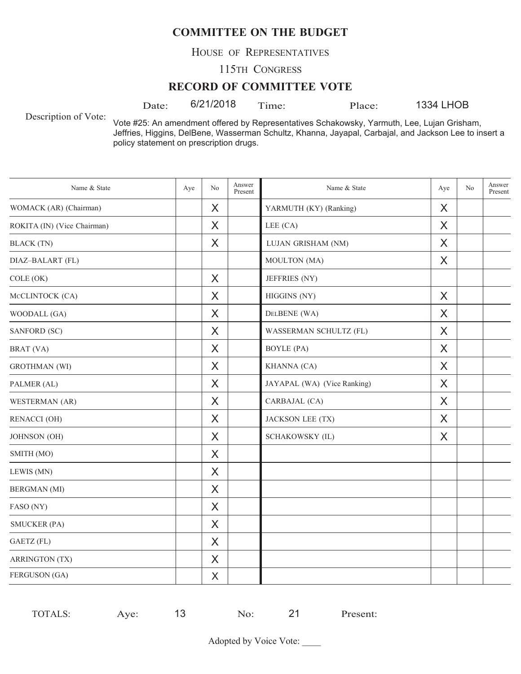HOUSE OF REPRESENTATIVES

115TH CONGRESS

#### **RECORD OF COMMITTEE VOTE**

Date: 6/21/2018 Time: Place:

1334 LHOB

Description of Vote:

Vote #25: An amendment offered by Representatives Schakowsky, Yarmuth, Lee, Lujan Grisham, Jeffries, Higgins, DelBene, Wasserman Schultz, Khanna, Jayapal, Carbajal, and Jackson Lee to insert a policy statement on prescription drugs.

| Name & State                | Aye | No | Answer<br>Present | Name & State                | Aye     | No | Answer<br>Present |
|-----------------------------|-----|----|-------------------|-----------------------------|---------|----|-------------------|
| WOMACK (AR) (Chairman)      |     | X  |                   | YARMUTH (KY) (Ranking)      | X       |    |                   |
| ROKITA (IN) (Vice Chairman) |     | X  |                   | LEE (CA)                    | X       |    |                   |
| <b>BLACK</b> (TN)           |     | X  |                   | LUJAN GRISHAM (NM)          | X       |    |                   |
| DIAZ-BALART (FL)            |     |    |                   | MOULTON (MA)                | X       |    |                   |
| COLE (OK)                   |     | X  |                   | JEFFRIES (NY)               |         |    |                   |
| MCCLINTOCK (CA)             |     | X  |                   | HIGGINS (NY)                | $\sf X$ |    |                   |
| WOODALL (GA)                |     | X  |                   | DELBENE (WA)                | X       |    |                   |
| SANFORD (SC)                |     | X  |                   | WASSERMAN SCHULTZ (FL)      | X       |    |                   |
| BRAT (VA)                   |     | X  |                   | <b>BOYLE</b> (PA)           | X       |    |                   |
| <b>GROTHMAN</b> (WI)        |     | X  |                   | KHANNA (CA)                 | X       |    |                   |
| PALMER (AL)                 |     | X  |                   | JAYAPAL (WA) (Vice Ranking) | X       |    |                   |
| WESTERMAN (AR)              |     | X  |                   | CARBAJAL (CA)               | X       |    |                   |
| <b>RENACCI (OH)</b>         |     | X  |                   | JACKSON LEE (TX)            | X       |    |                   |
| JOHNSON (OH)                |     | X  |                   | SCHAKOWSKY (IL)             | X       |    |                   |
| SMITH (MO)                  |     | X  |                   |                             |         |    |                   |
| LEWIS (MN)                  |     | X  |                   |                             |         |    |                   |
| <b>BERGMAN</b> (MI)         |     | X  |                   |                             |         |    |                   |
| FASO (NY)                   |     | X  |                   |                             |         |    |                   |
| <b>SMUCKER (PA)</b>         |     | X  |                   |                             |         |    |                   |
| GAETZ (FL)                  |     | X  |                   |                             |         |    |                   |
| <b>ARRINGTON (TX)</b>       |     | X  |                   |                             |         |    |                   |
| FERGUSON (GA)               |     | X  |                   |                             |         |    |                   |

TOTALS: Aye: 13 No: 21 Present: 13 No: 21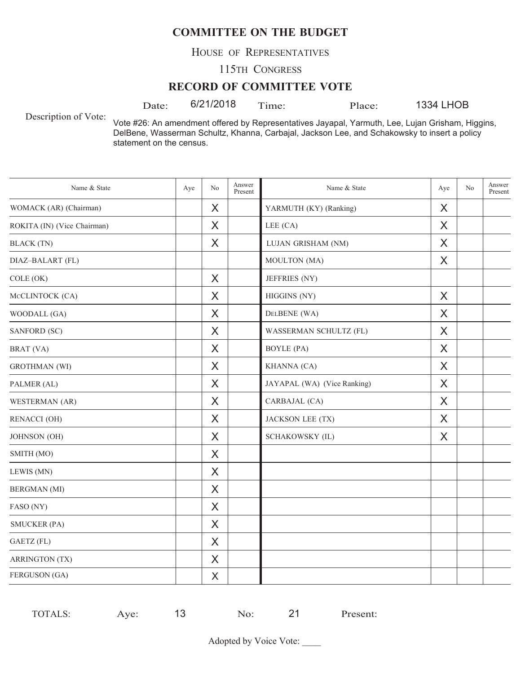HOUSE OF REPRESENTATIVES

115TH CONGRESS

#### **RECORD OF COMMITTEE VOTE**

Date:  $6/21/2018$  Time: Place:

1334 LHOB

Description of Vote:

Vote #26: An amendment offered by Representatives Jayapal, Yarmuth, Lee, Lujan Grisham, Higgins, DelBene, Wasserman Schultz, Khanna, Carbajal, Jackson Lee, and Schakowsky to insert a policy statement on the census.

| Name & State                | Aye | No       | Answer<br>Present | Name & State                | Aye     | No | Answer<br>Present |
|-----------------------------|-----|----------|-------------------|-----------------------------|---------|----|-------------------|
| WOMACK (AR) (Chairman)      |     | X        |                   | YARMUTH (KY) (Ranking)      | X       |    |                   |
| ROKITA (IN) (Vice Chairman) |     | X        |                   | LEE (CA)                    | X       |    |                   |
| <b>BLACK</b> (TN)           |     | X        |                   | LUJAN GRISHAM (NM)          | X       |    |                   |
| DIAZ-BALART (FL)            |     |          |                   | MOULTON (MA)                | X       |    |                   |
| COLE (OK)                   |     | X        |                   | JEFFRIES (NY)               |         |    |                   |
| MCCLINTOCK (CA)             |     | X        |                   | HIGGINS (NY)                | $\sf X$ |    |                   |
| WOODALL (GA)                |     | X        |                   | DELBENE (WA)                | X       |    |                   |
| SANFORD (SC)                |     | X        |                   | WASSERMAN SCHULTZ (FL)      | X       |    |                   |
| BRAT (VA)                   |     | X        |                   | <b>BOYLE</b> (PA)           | X       |    |                   |
| <b>GROTHMAN</b> (WI)        |     | X        |                   | KHANNA (CA)                 | X       |    |                   |
| PALMER (AL)                 |     | X        |                   | JAYAPAL (WA) (Vice Ranking) | X       |    |                   |
| WESTERMAN (AR)              |     | X        |                   | CARBAJAL (CA)               | X       |    |                   |
| RENACCI (OH)                |     | X        |                   | JACKSON LEE (TX)            | X       |    |                   |
| <b>JOHNSON</b> (OH)         |     | X        |                   | <b>SCHAKOWSKY (IL)</b>      | X       |    |                   |
| SMITH (MO)                  |     | X        |                   |                             |         |    |                   |
| LEWIS (MN)                  |     | $\times$ |                   |                             |         |    |                   |
| <b>BERGMAN</b> (MI)         |     | X        |                   |                             |         |    |                   |
| FASO (NY)                   |     | X        |                   |                             |         |    |                   |
| <b>SMUCKER (PA)</b>         |     | X        |                   |                             |         |    |                   |
| GAETZ (FL)                  |     | X        |                   |                             |         |    |                   |
| <b>ARRINGTON (TX)</b>       |     | X        |                   |                             |         |    |                   |
| FERGUSON (GA)               |     | X        |                   |                             |         |    |                   |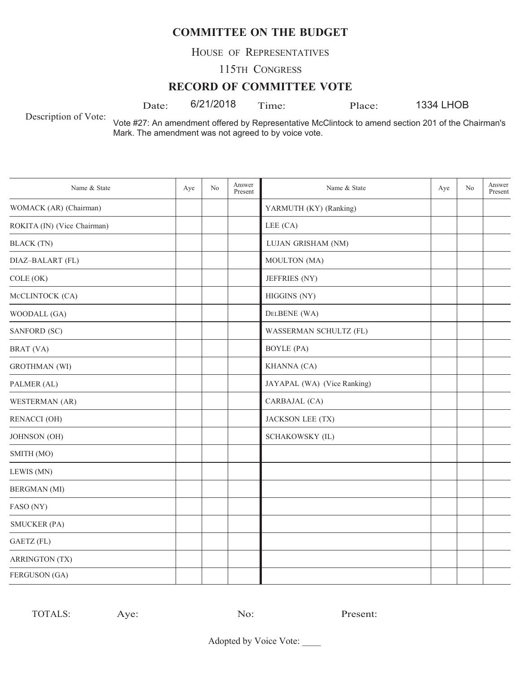HOUSE OF REPRESENTATIVES

115TH CONGRESS

#### **RECORD OF COMMITTEE VOTE**

Date:  $6/21/2018$  Time: Place:

1334 LHOB

Description of Vote:

Vote #27: An amendment offered by Representative McClintock to amend section 201 of the Chairman's Mark. The amendment was not agreed to by voice vote.

| Name & State                | Aye | N <sub>o</sub> | Answer<br>Present | Name & State                | Aye | No | Answer<br>Present |
|-----------------------------|-----|----------------|-------------------|-----------------------------|-----|----|-------------------|
| WOMACK (AR) (Chairman)      |     |                |                   | YARMUTH (KY) (Ranking)      |     |    |                   |
| ROKITA (IN) (Vice Chairman) |     |                |                   | LEE (CA)                    |     |    |                   |
| <b>BLACK</b> (TN)           |     |                |                   | LUJAN GRISHAM (NM)          |     |    |                   |
| DIAZ-BALART (FL)            |     |                |                   | MOULTON (MA)                |     |    |                   |
| COLE (OK)                   |     |                |                   | JEFFRIES (NY)               |     |    |                   |
| MCCLINTOCK (CA)             |     |                |                   | HIGGINS (NY)                |     |    |                   |
| WOODALL (GA)                |     |                |                   | DELBENE (WA)                |     |    |                   |
| SANFORD (SC)                |     |                |                   | WASSERMAN SCHULTZ (FL)      |     |    |                   |
| BRAT (VA)                   |     |                |                   | <b>BOYLE</b> (PA)           |     |    |                   |
| <b>GROTHMAN</b> (WI)        |     |                |                   | KHANNA (CA)                 |     |    |                   |
| PALMER (AL)                 |     |                |                   | JAYAPAL (WA) (Vice Ranking) |     |    |                   |
| WESTERMAN (AR)              |     |                |                   | CARBAJAL (CA)               |     |    |                   |
| <b>RENACCI (OH)</b>         |     |                |                   | JACKSON LEE (TX)            |     |    |                   |
| <b>JOHNSON</b> (OH)         |     |                |                   | SCHAKOWSKY (IL)             |     |    |                   |
| SMITH (MO)                  |     |                |                   |                             |     |    |                   |
| LEWIS (MN)                  |     |                |                   |                             |     |    |                   |
| <b>BERGMAN</b> (MI)         |     |                |                   |                             |     |    |                   |
| FASO (NY)                   |     |                |                   |                             |     |    |                   |
| <b>SMUCKER (PA)</b>         |     |                |                   |                             |     |    |                   |
| GAETZ (FL)                  |     |                |                   |                             |     |    |                   |
| <b>ARRINGTON (TX)</b>       |     |                |                   |                             |     |    |                   |
| FERGUSON (GA)               |     |                |                   |                             |     |    |                   |

TOTALS: Aye: No: Present: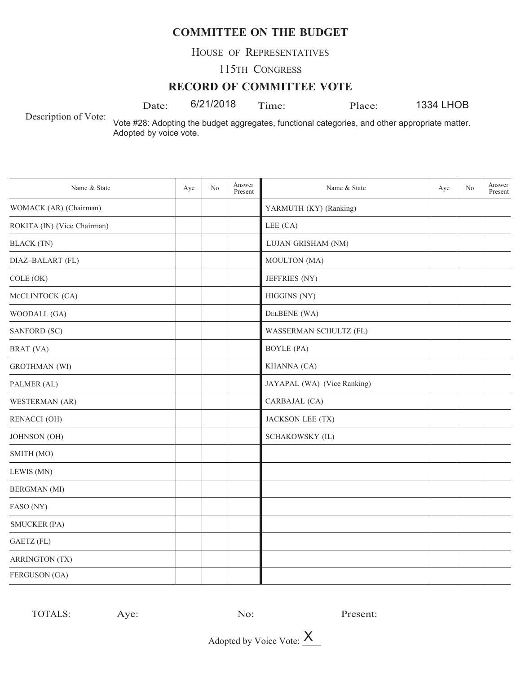HOUSE OF REPRESENTATIVES

115TH CONGRESS

### **RECORD OF COMMITTEE VOTE**

Date: 6/21/2018 Time: Place:

1334 LHOB

Description of Vote:

Vote #28: Adopting the budget aggregates, functional categories, and other appropriate matter. Adopted by voice vote.

| Name & State                | Aye | No | Answer<br>Present | Name & State                | Aye | No | Answer<br>Present |
|-----------------------------|-----|----|-------------------|-----------------------------|-----|----|-------------------|
| WOMACK (AR) (Chairman)      |     |    |                   | YARMUTH (KY) (Ranking)      |     |    |                   |
| ROKITA (IN) (Vice Chairman) |     |    |                   | LEE (CA)                    |     |    |                   |
| <b>BLACK</b> (TN)           |     |    |                   | LUJAN GRISHAM (NM)          |     |    |                   |
| DIAZ-BALART (FL)            |     |    |                   | MOULTON (MA)                |     |    |                   |
| COLE (OK)                   |     |    |                   | JEFFRIES (NY)               |     |    |                   |
| MCCLINTOCK (CA)             |     |    |                   | HIGGINS (NY)                |     |    |                   |
| WOODALL (GA)                |     |    |                   | DELBENE (WA)                |     |    |                   |
| SANFORD (SC)                |     |    |                   | WASSERMAN SCHULTZ (FL)      |     |    |                   |
| BRAT (VA)                   |     |    |                   | <b>BOYLE</b> (PA)           |     |    |                   |
| <b>GROTHMAN</b> (WI)        |     |    |                   | KHANNA (CA)                 |     |    |                   |
| PALMER (AL)                 |     |    |                   | JAYAPAL (WA) (Vice Ranking) |     |    |                   |
| WESTERMAN (AR)              |     |    |                   | CARBAJAL (CA)               |     |    |                   |
| <b>RENACCI (OH)</b>         |     |    |                   | JACKSON LEE (TX)            |     |    |                   |
| JOHNSON (OH)                |     |    |                   | SCHAKOWSKY (IL)             |     |    |                   |
| SMITH (MO)                  |     |    |                   |                             |     |    |                   |
| LEWIS (MN)                  |     |    |                   |                             |     |    |                   |
| <b>BERGMAN</b> (MI)         |     |    |                   |                             |     |    |                   |
| FASO (NY)                   |     |    |                   |                             |     |    |                   |
| <b>SMUCKER (PA)</b>         |     |    |                   |                             |     |    |                   |
| GAETZ (FL)                  |     |    |                   |                             |     |    |                   |
| <b>ARRINGTON (TX)</b>       |     |    |                   |                             |     |    |                   |
| FERGUSON (GA)               |     |    |                   |                             |     |    |                   |

TOTALS: Aye: No: Present: